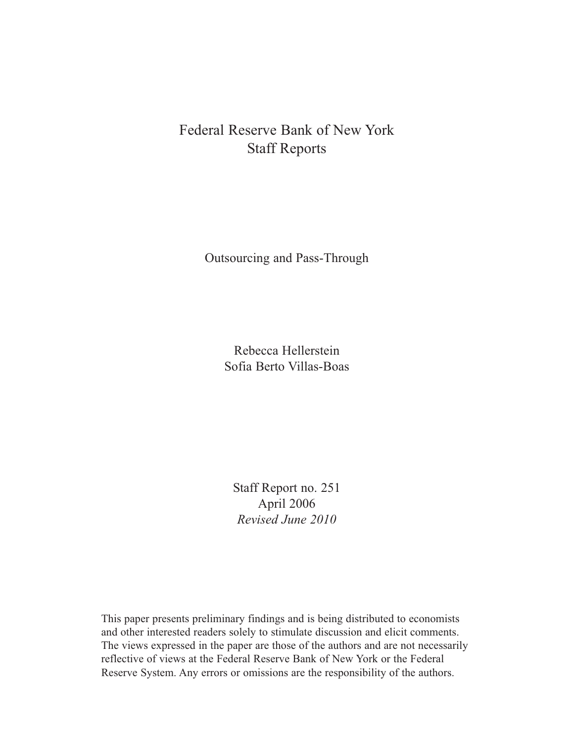# Federal Reserve Bank of New York Staff Reports

Outsourcing and Pass-Through

Rebecca Hellerstein Sofia Berto Villas-Boas

Staff Report no. 251 April 2006 *Revised June 2010*

This paper presents preliminary findings and is being distributed to economists and other interested readers solely to stimulate discussion and elicit comments. The views expressed in the paper are those of the authors and are not necessarily reflective of views at the Federal Reserve Bank of New York or the Federal Reserve System. Any errors or omissions are the responsibility of the authors.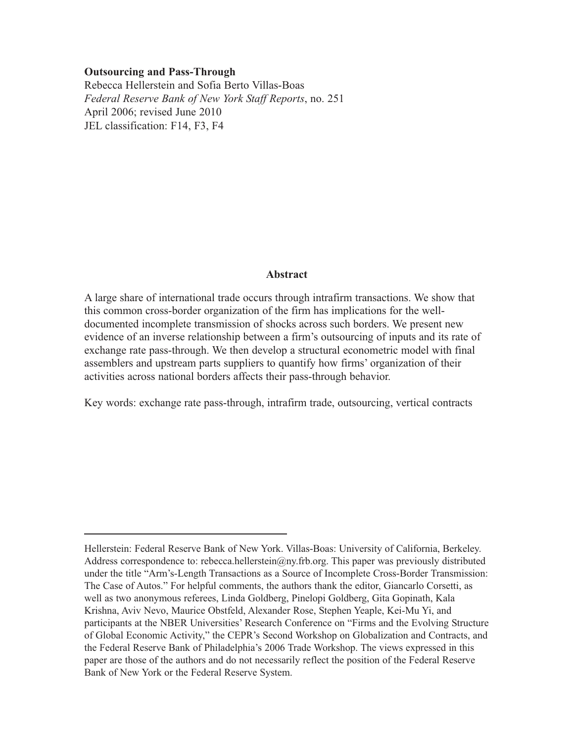### **Outsourcing and Pass-Through**

Rebecca Hellerstein and Sofia Berto Villas-Boas *Federal Reserve Bank of New York Staff Reports*, no. 251 April 2006; revised June 2010 JEL classification: F14, F3, F4

#### **Abstract**

A large share of international trade occurs through intrafirm transactions. We show that this common cross-border organization of the firm has implications for the welldocumented incomplete transmission of shocks across such borders. We present new evidence of an inverse relationship between a firm's outsourcing of inputs and its rate of exchange rate pass-through. We then develop a structural econometric model with final assemblers and upstream parts suppliers to quantify how firms' organization of their activities across national borders affects their pass-through behavior.

Key words: exchange rate pass-through, intrafirm trade, outsourcing, vertical contracts

Hellerstein: Federal Reserve Bank of New York. Villas-Boas: University of California, Berkeley. Address correspondence to: rebecca.hellerstein@ny.frb.org. This paper was previously distributed under the title "Arm's-Length Transactions as a Source of Incomplete Cross-Border Transmission: The Case of Autos." For helpful comments, the authors thank the editor, Giancarlo Corsetti, as well as two anonymous referees, Linda Goldberg, Pinelopi Goldberg, Gita Gopinath, Kala Krishna, Aviv Nevo, Maurice Obstfeld, Alexander Rose, Stephen Yeaple, Kei-Mu Yi, and participants at the NBER Universities' Research Conference on "Firms and the Evolving Structure of Global Economic Activity," the CEPR's Second Workshop on Globalization and Contracts, and the Federal Reserve Bank of Philadelphia's 2006 Trade Workshop. The views expressed in this paper are those of the authors and do not necessarily reflect the position of the Federal Reserve Bank of New York or the Federal Reserve System.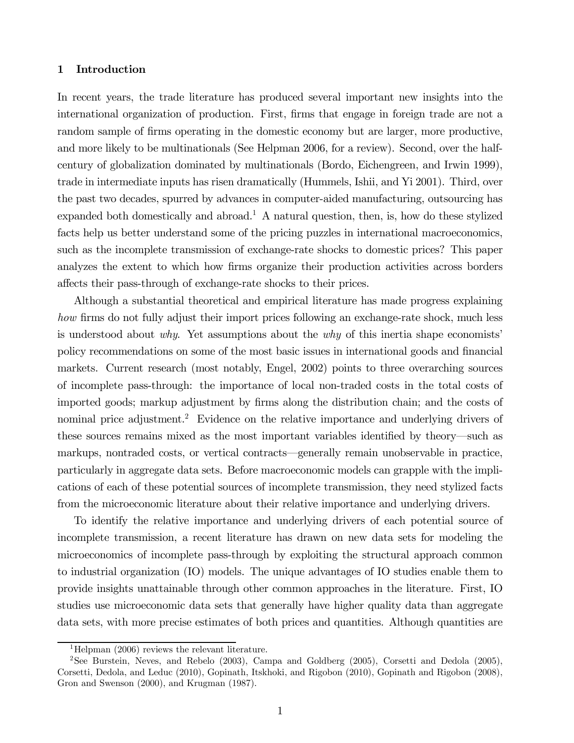#### 1 Introduction

In recent years, the trade literature has produced several important new insights into the international organization of production. First, firms that engage in foreign trade are not a random sample of firms operating in the domestic economy but are larger, more productive, and more likely to be multinationals (See Helpman 2006, for a review). Second, over the halfcentury of globalization dominated by multinationals (Bordo, Eichengreen, and Irwin 1999), trade in intermediate inputs has risen dramatically (Hummels, Ishii, and Yi 2001). Third, over the past two decades, spurred by advances in computer-aided manufacturing, outsourcing has expanded both domestically and abroad.<sup>1</sup> A natural question, then, is, how do these stylized facts help us better understand some of the pricing puzzles in international macroeconomics, such as the incomplete transmission of exchange-rate shocks to domestic prices? This paper analyzes the extent to which how firms organize their production activities across borders affects their pass-through of exchange-rate shocks to their prices.

Although a substantial theoretical and empirical literature has made progress explaining how firms do not fully adjust their import prices following an exchange-rate shock, much less is understood about *why*. Yet assumptions about the *why* of this inertia shape economists' policy recommendations on some of the most basic issues in international goods and financial markets. Current research (most notably, Engel, 2002) points to three overarching sources of incomplete pass-through: the importance of local non-traded costs in the total costs of imported goods; markup adjustment by firms along the distribution chain; and the costs of nominal price adjustment.<sup>2</sup> Evidence on the relative importance and underlying drivers of these sources remains mixed as the most important variables identified by theory–such as markups, nontraded costs, or vertical contracts–generally remain unobservable in practice, particularly in aggregate data sets. Before macroeconomic models can grapple with the implications of each of these potential sources of incomplete transmission, they need stylized facts from the microeconomic literature about their relative importance and underlying drivers.

To identify the relative importance and underlying drivers of each potential source of incomplete transmission, a recent literature has drawn on new data sets for modeling the microeconomics of incomplete pass-through by exploiting the structural approach common to industrial organization (IO) models. The unique advantages of IO studies enable them to provide insights unattainable through other common approaches in the literature. First, IO studies use microeconomic data sets that generally have higher quality data than aggregate data sets, with more precise estimates of both prices and quantities. Although quantities are

<sup>&</sup>lt;sup>1</sup>Helpman (2006) reviews the relevant literature.

<sup>&</sup>lt;sup>2</sup>See Burstein, Neves, and Rebelo (2003), Campa and Goldberg (2005), Corsetti and Dedola (2005), Corsetti, Dedola, and Leduc (2010), Gopinath, Itskhoki, and Rigobon (2010), Gopinath and Rigobon (2008), Gron and Swenson (2000), and Krugman (1987).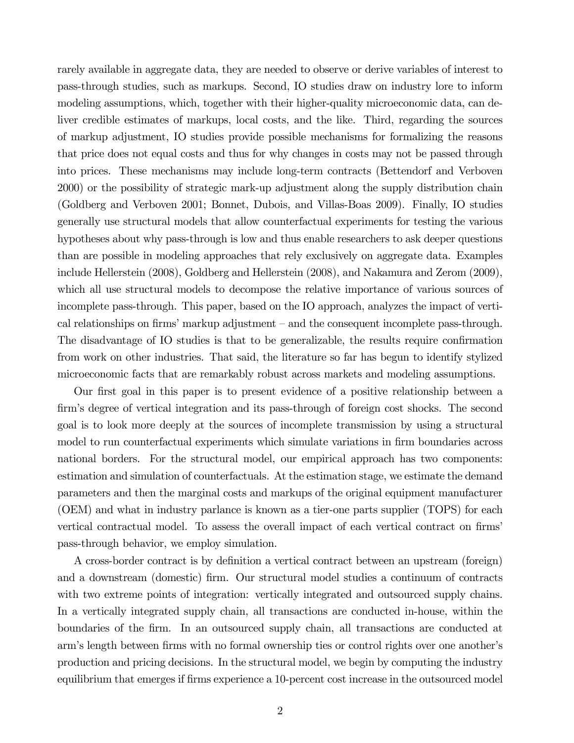rarely available in aggregate data, they are needed to observe or derive variables of interest to pass-through studies, such as markups. Second, IO studies draw on industry lore to inform modeling assumptions, which, together with their higher-quality microeconomic data, can deliver credible estimates of markups, local costs, and the like. Third, regarding the sources of markup adjustment, IO studies provide possible mechanisms for formalizing the reasons that price does not equal costs and thus for why changes in costs may not be passed through into prices. These mechanisms may include long-term contracts (Bettendorf and Verboven 2000) or the possibility of strategic mark-up adjustment along the supply distribution chain (Goldberg and Verboven 2001; Bonnet, Dubois, and Villas-Boas 2009). Finally, IO studies generally use structural models that allow counterfactual experiments for testing the various hypotheses about why pass-through is low and thus enable researchers to ask deeper questions than are possible in modeling approaches that rely exclusively on aggregate data. Examples include Hellerstein (2008), Goldberg and Hellerstein (2008), and Nakamura and Zerom (2009), which all use structural models to decompose the relative importance of various sources of incomplete pass-through. This paper, based on the IO approach, analyzes the impact of vertical relationships on firms' markup adjustment — and the consequent incomplete pass-through. The disadvantage of IO studies is that to be generalizable, the results require confirmation from work on other industries. That said, the literature so far has begun to identify stylized microeconomic facts that are remarkably robust across markets and modeling assumptions.

Our first goal in this paper is to present evidence of a positive relationship between a firm's degree of vertical integration and its pass-through of foreign cost shocks. The second goal is to look more deeply at the sources of incomplete transmission by using a structural model to run counterfactual experiments which simulate variations in firm boundaries across national borders. For the structural model, our empirical approach has two components: estimation and simulation of counterfactuals. At the estimation stage, we estimate the demand parameters and then the marginal costs and markups of the original equipment manufacturer (OEM) and what in industry parlance is known as a tier-one parts supplier (TOPS) for each vertical contractual model. To assess the overall impact of each vertical contract on firms' pass-through behavior, we employ simulation.

A cross-border contract is by definition a vertical contract between an upstream (foreign) and a downstream (domestic) firm. Our structural model studies a continuum of contracts with two extreme points of integration: vertically integrated and outsourced supply chains. In a vertically integrated supply chain, all transactions are conducted in-house, within the boundaries of the firm. In an outsourced supply chain, all transactions are conducted at arm's length between firms with no formal ownership ties or control rights over one another's production and pricing decisions. In the structural model, we begin by computing the industry equilibrium that emerges if firms experience a 10-percent cost increase in the outsourced model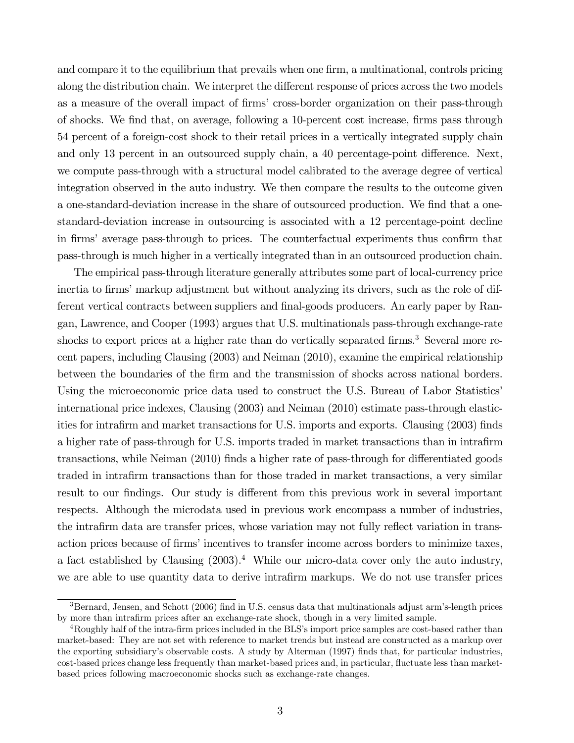and compare it to the equilibrium that prevails when one firm, a multinational, controls pricing along the distribution chain. We interpret the different response of prices across the two models as a measure of the overall impact of firms' cross-border organization on their pass-through of shocks. We find that, on average, following a 10-percent cost increase, firms pass through 54 percent of a foreign-cost shock to their retail prices in a vertically integrated supply chain and only 13 percent in an outsourced supply chain, a 40 percentage-point difference. Next, we compute pass-through with a structural model calibrated to the average degree of vertical integration observed in the auto industry. We then compare the results to the outcome given a one-standard-deviation increase in the share of outsourced production. We find that a onestandard-deviation increase in outsourcing is associated with a 12 percentage-point decline in firms' average pass-through to prices. The counterfactual experiments thus confirm that pass-through is much higher in a vertically integrated than in an outsourced production chain.

The empirical pass-through literature generally attributes some part of local-currency price inertia to firms' markup adjustment but without analyzing its drivers, such as the role of different vertical contracts between suppliers and final-goods producers. An early paper by Rangan, Lawrence, and Cooper (1993) argues that U.S. multinationals pass-through exchange-rate shocks to export prices at a higher rate than do vertically separated firms.<sup>3</sup> Several more recent papers, including Clausing (2003) and Neiman (2010), examine the empirical relationship between the boundaries of the firm and the transmission of shocks across national borders. Using the microeconomic price data used to construct the U.S. Bureau of Labor Statistics' international price indexes, Clausing (2003) and Neiman (2010) estimate pass-through elasticities for intrafirm and market transactions for U.S. imports and exports. Clausing (2003) finds a higher rate of pass-through for U.S. imports traded in market transactions than in intrafirm transactions, while Neiman (2010) finds a higher rate of pass-through for differentiated goods traded in intrafirm transactions than for those traded in market transactions, a very similar result to our findings. Our study is different from this previous work in several important respects. Although the microdata used in previous work encompass a number of industries, the intrafirm data are transfer prices, whose variation may not fully reflect variation in transaction prices because of firms' incentives to transfer income across borders to minimize taxes, a fact established by Clausing  $(2003)^{4}$  While our micro-data cover only the auto industry, we are able to use quantity data to derive intrafirm markups. We do not use transfer prices

<sup>3</sup>Bernard, Jensen, and Schott (2006) find in U.S. census data that multinationals adjust arm's-length prices by more than intrafirm prices after an exchange-rate shock, though in a very limited sample.

<sup>4</sup>Roughly half of the intra-firm prices included in the BLS's import price samples are cost-based rather than market-based: They are not set with reference to market trends but instead are constructed as a markup over the exporting subsidiary's observable costs. A study by Alterman (1997) finds that, for particular industries, cost-based prices change less frequently than market-based prices and, in particular, fluctuate less than marketbased prices following macroeconomic shocks such as exchange-rate changes.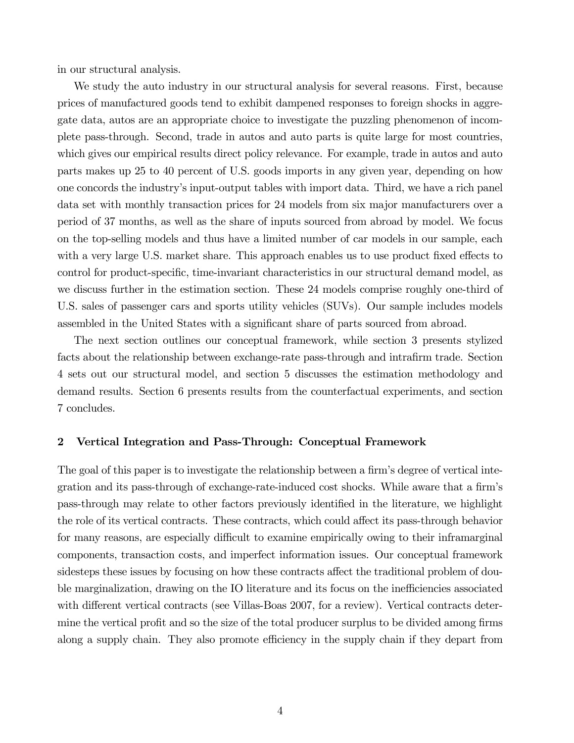in our structural analysis.

We study the auto industry in our structural analysis for several reasons. First, because prices of manufactured goods tend to exhibit dampened responses to foreign shocks in aggregate data, autos are an appropriate choice to investigate the puzzling phenomenon of incomplete pass-through. Second, trade in autos and auto parts is quite large for most countries, which gives our empirical results direct policy relevance. For example, trade in autos and auto parts makes up 25 to 40 percent of U.S. goods imports in any given year, depending on how one concords the industry's input-output tables with import data. Third, we have a rich panel data set with monthly transaction prices for 24 models from six major manufacturers over a period of 37 months, as well as the share of inputs sourced from abroad by model. We focus on the top-selling models and thus have a limited number of car models in our sample, each with a very large U.S. market share. This approach enables us to use product fixed effects to control for product-specific, time-invariant characteristics in our structural demand model, as we discuss further in the estimation section. These 24 models comprise roughly one-third of U.S. sales of passenger cars and sports utility vehicles (SUVs). Our sample includes models assembled in the United States with a significant share of parts sourced from abroad.

The next section outlines our conceptual framework, while section 3 presents stylized facts about the relationship between exchange-rate pass-through and intrafirm trade. Section 4 sets out our structural model, and section 5 discusses the estimation methodology and demand results. Section 6 presents results from the counterfactual experiments, and section 7 concludes.

#### 2 Vertical Integration and Pass-Through: Conceptual Framework

The goal of this paper is to investigate the relationship between a firm's degree of vertical integration and its pass-through of exchange-rate-induced cost shocks. While aware that a firm's pass-through may relate to other factors previously identified in the literature, we highlight the role of its vertical contracts. These contracts, which could affect its pass-through behavior for many reasons, are especially difficult to examine empirically owing to their inframarginal components, transaction costs, and imperfect information issues. Our conceptual framework sidesteps these issues by focusing on how these contracts affect the traditional problem of double marginalization, drawing on the IO literature and its focus on the inefficiencies associated with different vertical contracts (see Villas-Boas 2007, for a review). Vertical contracts determine the vertical profit and so the size of the total producer surplus to be divided among firms along a supply chain. They also promote efficiency in the supply chain if they depart from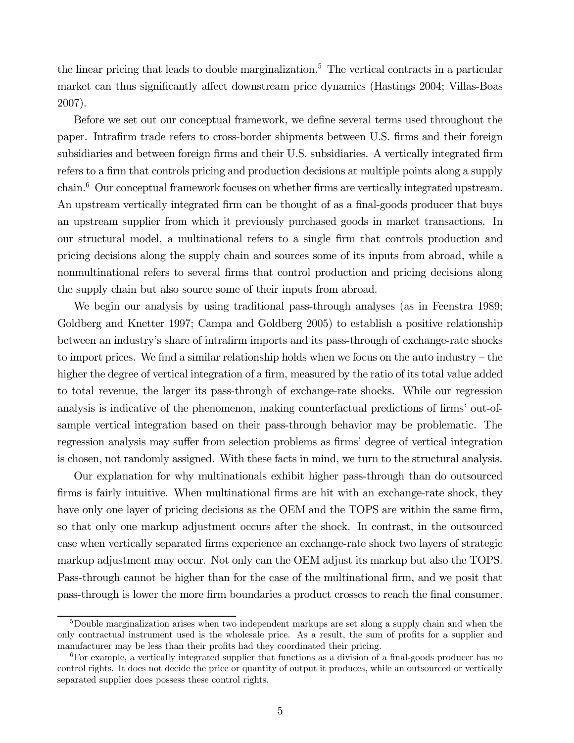the linear pricing that leads to double marginalization.<sup>5</sup> The vertical contracts in a particular market can thus significantly affect downstream price dynamics (Hastings 2004; Villas-Boas 2007).

Before we set out our conceptual framework, we define several terms used throughout the paper. Intrafirm trade refers to cross-border shipments between U.S. firms and their foreign subsidiaries and between foreign firms and their U.S. subsidiaries. A vertically integrated firm refers to a firm that controls pricing and production decisions at multiple points along a supply chain.6 Our conceptual framework focuses on whether firms are vertically integrated upstream. An upstream vertically integrated firm can be thought of as a final-goods producer that buys an upstream supplier from which it previously purchased goods in market transactions. In our structural model, a multinational refers to a single firm that controls production and pricing decisions along the supply chain and sources some of its inputs from abroad, while a nonmultinational refers to several firms that control production and pricing decisions along the supply chain but also source some of their inputs from abroad.

We begin our analysis by using traditional pass-through analyses (as in Feenstra 1989; Goldberg and Knetter 1997; Campa and Goldberg 2005) to establish a positive relationship between an industry's share of intrafirm imports and its pass-through of exchange-rate shocks to import prices. We find a similar relationship holds when we focus on the auto industry — the higher the degree of vertical integration of a firm, measured by the ratio of its total value added to total revenue, the larger its pass-through of exchange-rate shocks. While our regression analysis is indicative of the phenomenon, making counterfactual predictions of firms' out-ofsample vertical integration based on their pass-through behavior may be problematic. The regression analysis may suffer from selection problems as firms' degree of vertical integration is chosen, not randomly assigned. With these facts in mind, we turn to the structural analysis.

Our explanation for why multinationals exhibit higher pass-through than do outsourced firms is fairly intuitive. When multinational firms are hit with an exchange-rate shock, they have only one layer of pricing decisions as the OEM and the TOPS are within the same firm, so that only one markup adjustment occurs after the shock. In contrast, in the outsourced case when vertically separated firms experience an exchange-rate shock two layers of strategic markup adjustment may occur. Not only can the OEM adjust its markup but also the TOPS. Pass-through cannot be higher than for the case of the multinational firm, and we posit that pass-through is lower the more firm boundaries a product crosses to reach the final consumer.

<sup>5</sup>Double marginalization arises when two independent markups are set along a supply chain and when the only contractual instrument used is the wholesale price. As a result, the sum of profits for a supplier and manufacturer may be less than their profits had they coordinated their pricing.

<sup>6</sup>For example, a vertically integrated supplier that functions as a division of a final-goods producer has no control rights. It does not decide the price or quantity of output it produces, while an outsourced or vertically separated supplier does possess these control rights.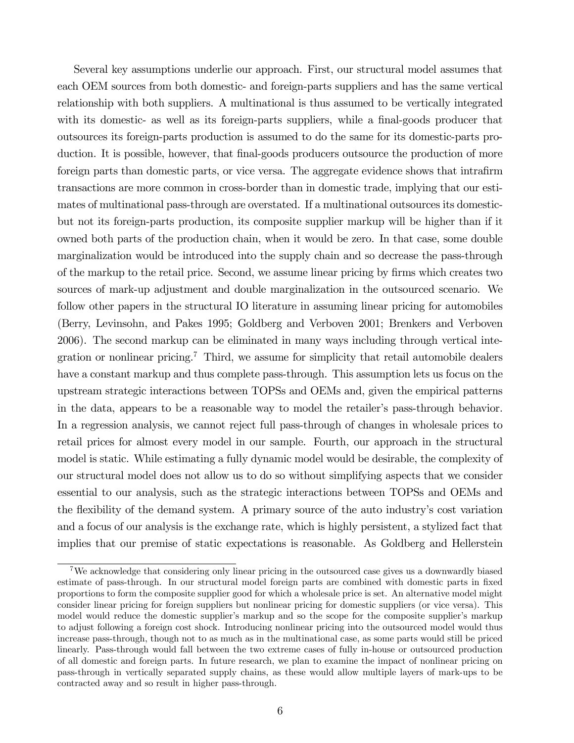Several key assumptions underlie our approach. First, our structural model assumes that each OEM sources from both domestic- and foreign-parts suppliers and has the same vertical relationship with both suppliers. A multinational is thus assumed to be vertically integrated with its domestic- as well as its foreign-parts suppliers, while a final-goods producer that outsources its foreign-parts production is assumed to do the same for its domestic-parts production. It is possible, however, that final-goods producers outsource the production of more foreign parts than domestic parts, or vice versa. The aggregate evidence shows that intrafirm transactions are more common in cross-border than in domestic trade, implying that our estimates of multinational pass-through are overstated. If a multinational outsources its domesticbut not its foreign-parts production, its composite supplier markup will be higher than if it owned both parts of the production chain, when it would be zero. In that case, some double marginalization would be introduced into the supply chain and so decrease the pass-through of the markup to the retail price. Second, we assume linear pricing by firms which creates two sources of mark-up adjustment and double marginalization in the outsourced scenario. We follow other papers in the structural IO literature in assuming linear pricing for automobiles (Berry, Levinsohn, and Pakes 1995; Goldberg and Verboven 2001; Brenkers and Verboven 2006). The second markup can be eliminated in many ways including through vertical integration or nonlinear pricing.<sup>7</sup> Third, we assume for simplicity that retail automobile dealers have a constant markup and thus complete pass-through. This assumption lets us focus on the upstream strategic interactions between TOPSs and OEMs and, given the empirical patterns in the data, appears to be a reasonable way to model the retailer's pass-through behavior. In a regression analysis, we cannot reject full pass-through of changes in wholesale prices to retail prices for almost every model in our sample. Fourth, our approach in the structural model is static. While estimating a fully dynamic model would be desirable, the complexity of our structural model does not allow us to do so without simplifying aspects that we consider essential to our analysis, such as the strategic interactions between TOPSs and OEMs and the flexibility of the demand system. A primary source of the auto industry's cost variation and a focus of our analysis is the exchange rate, which is highly persistent, a stylized fact that implies that our premise of static expectations is reasonable. As Goldberg and Hellerstein

<sup>7</sup>We acknowledge that considering only linear pricing in the outsourced case gives us a downwardly biased estimate of pass-through. In our structural model foreign parts are combined with domestic parts in fixed proportions to form the composite supplier good for which a wholesale price is set. An alternative model might consider linear pricing for foreign suppliers but nonlinear pricing for domestic suppliers (or vice versa). This model would reduce the domestic supplier's markup and so the scope for the composite supplier's markup to adjust following a foreign cost shock. Introducing nonlinear pricing into the outsourced model would thus increase pass-through, though not to as much as in the multinational case, as some parts would still be priced linearly. Pass-through would fall between the two extreme cases of fully in-house or outsourced production of all domestic and foreign parts. In future research, we plan to examine the impact of nonlinear pricing on pass-through in vertically separated supply chains, as these would allow multiple layers of mark-ups to be contracted away and so result in higher pass-through.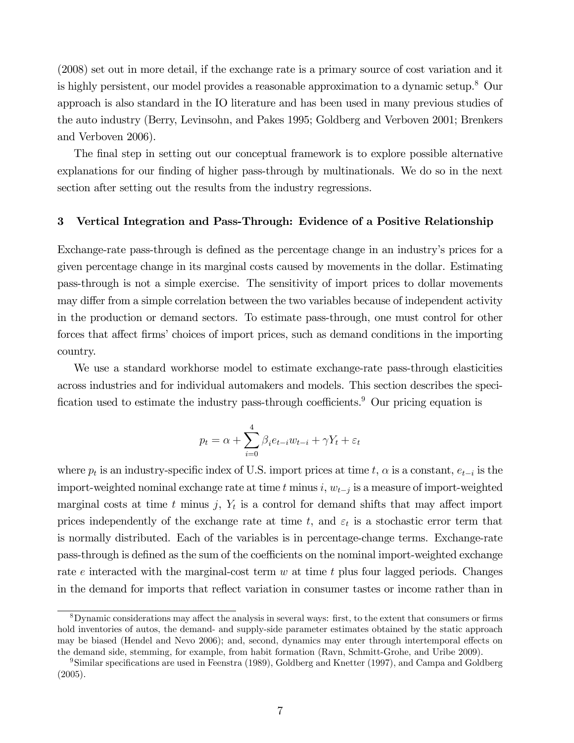(2008) set out in more detail, if the exchange rate is a primary source of cost variation and it is highly persistent, our model provides a reasonable approximation to a dynamic setup.<sup>8</sup> Our approach is also standard in the IO literature and has been used in many previous studies of the auto industry (Berry, Levinsohn, and Pakes 1995; Goldberg and Verboven 2001; Brenkers and Verboven 2006).

The final step in setting out our conceptual framework is to explore possible alternative explanations for our finding of higher pass-through by multinationals. We do so in the next section after setting out the results from the industry regressions.

#### 3 Vertical Integration and Pass-Through: Evidence of a Positive Relationship

Exchange-rate pass-through is defined as the percentage change in an industry's prices for a given percentage change in its marginal costs caused by movements in the dollar. Estimating pass-through is not a simple exercise. The sensitivity of import prices to dollar movements may differ from a simple correlation between the two variables because of independent activity in the production or demand sectors. To estimate pass-through, one must control for other forces that affect firms' choices of import prices, such as demand conditions in the importing country.

We use a standard workhorse model to estimate exchange-rate pass-through elasticities across industries and for individual automakers and models. This section describes the specification used to estimate the industry pass-through coefficients.<sup>9</sup> Our pricing equation is

$$
p_t = \alpha + \sum_{i=0}^{4} \beta_i e_{t-i} w_{t-i} + \gamma Y_t + \varepsilon_t
$$

where  $p_t$  is an industry-specific index of U.S. import prices at time  $t$ ,  $\alpha$  is a constant,  $e_{t-i}$  is the import-weighted nominal exchange rate at time t minus i,  $w_{t-j}$  is a measure of import-weighted marginal costs at time t minus j,  $Y_t$  is a control for demand shifts that may affect import prices independently of the exchange rate at time t, and  $\varepsilon_t$  is a stochastic error term that is normally distributed. Each of the variables is in percentage-change terms. Exchange-rate pass-through is defined as the sum of the coefficients on the nominal import-weighted exchange rate e interacted with the marginal-cost term  $w$  at time  $t$  plus four lagged periods. Changes in the demand for imports that reflect variation in consumer tastes or income rather than in

<sup>8</sup>Dynamic considerations may affect the analysis in several ways: first, to the extent that consumers or firms hold inventories of autos, the demand- and supply-side parameter estimates obtained by the static approach may be biased (Hendel and Nevo 2006); and, second, dynamics may enter through intertemporal effects on the demand side, stemming, for example, from habit formation (Ravn, Schmitt-Grohe, and Uribe 2009).

<sup>9</sup>Similar specifications are used in Feenstra (1989), Goldberg and Knetter (1997), and Campa and Goldberg (2005).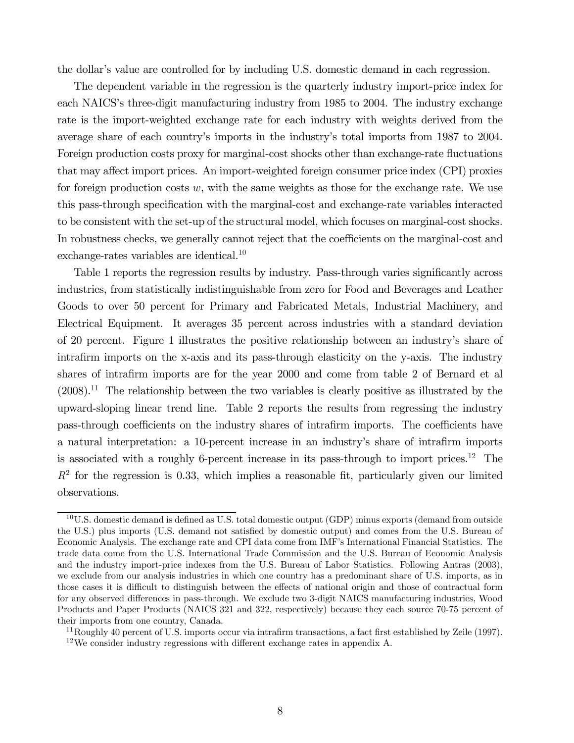the dollar's value are controlled for by including U.S. domestic demand in each regression.

The dependent variable in the regression is the quarterly industry import-price index for each NAICS's three-digit manufacturing industry from 1985 to 2004. The industry exchange rate is the import-weighted exchange rate for each industry with weights derived from the average share of each country's imports in the industry's total imports from 1987 to 2004. Foreign production costs proxy for marginal-cost shocks other than exchange-rate fluctuations that may affect import prices. An import-weighted foreign consumer price index (CPI) proxies for foreign production costs  $w$ , with the same weights as those for the exchange rate. We use this pass-through specification with the marginal-cost and exchange-rate variables interacted to be consistent with the set-up of the structural model, which focuses on marginal-cost shocks. In robustness checks, we generally cannot reject that the coefficients on the marginal-cost and exchange-rates variables are identical.<sup>10</sup>

Table 1 reports the regression results by industry. Pass-through varies significantly across industries, from statistically indistinguishable from zero for Food and Beverages and Leather Goods to over 50 percent for Primary and Fabricated Metals, Industrial Machinery, and Electrical Equipment. It averages 35 percent across industries with a standard deviation of 20 percent. Figure 1 illustrates the positive relationship between an industry's share of intrafirm imports on the x-axis and its pass-through elasticity on the y-axis. The industry shares of intrafirm imports are for the year 2000 and come from table 2 of Bernard et al  $(2008).$ <sup>11</sup> The relationship between the two variables is clearly positive as illustrated by the upward-sloping linear trend line. Table 2 reports the results from regressing the industry pass-through coefficients on the industry shares of intrafirm imports. The coefficients have a natural interpretation: a 10-percent increase in an industry's share of intrafirm imports is associated with a roughly 6-percent increase in its pass-through to import prices.<sup>12</sup> The  $R<sup>2</sup>$  for the regression is 0.33, which implies a reasonable fit, particularly given our limited observations.

 $10$ U.S. domestic demand is defined as U.S. total domestic output (GDP) minus exports (demand from outside the U.S.) plus imports (U.S. demand not satisfied by domestic output) and comes from the U.S. Bureau of Economic Analysis. The exchange rate and CPI data come from IMF's International Financial Statistics. The trade data come from the U.S. International Trade Commission and the U.S. Bureau of Economic Analysis and the industry import-price indexes from the U.S. Bureau of Labor Statistics. Following Antras (2003), we exclude from our analysis industries in which one country has a predominant share of U.S. imports, as in those cases it is difficult to distinguish between the effects of national origin and those of contractual form for any observed differences in pass-through. We exclude two 3-digit NAICS manufacturing industries, Wood Products and Paper Products (NAICS 321 and 322, respectively) because they each source 70-75 percent of their imports from one country, Canada.

 $11$ Roughly 40 percent of U.S. imports occur via intrafirm transactions, a fact first established by Zeile (1997). <sup>12</sup>We consider industry regressions with different exchange rates in appendix A.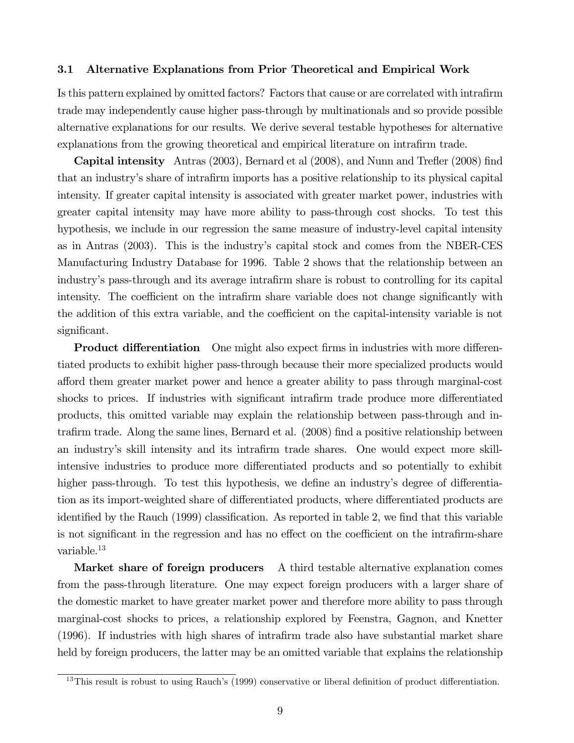#### 3.1 Alternative Explanations from Prior Theoretical and Empirical Work

Is this pattern explained by omitted factors? Factors that cause or are correlated with intrafirm trade may independently cause higher pass-through by multinationals and so provide possible alternative explanations for our results. We derive several testable hypotheses for alternative explanations from the growing theoretical and empirical literature on intrafirm trade.

Capital intensity Antras (2003), Bernard et al (2008), and Nunn and Trefler (2008) find that an industry's share of intrafirm imports has a positive relationship to its physical capital intensity. If greater capital intensity is associated with greater market power, industries with greater capital intensity may have more ability to pass-through cost shocks. To test this hypothesis, we include in our regression the same measure of industry-level capital intensity as in Antras (2003). This is the industry's capital stock and comes from the NBER-CES Manufacturing Industry Database for 1996. Table 2 shows that the relationship between an industry's pass-through and its average intrafirm share is robust to controlling for its capital intensity. The coefficient on the intrafirm share variable does not change significantly with the addition of this extra variable, and the coefficient on the capital-intensity variable is not significant.

Product differentiation One might also expect firms in industries with more differentiated products to exhibit higher pass-through because their more specialized products would afford them greater market power and hence a greater ability to pass through marginal-cost shocks to prices. If industries with significant intrafirm trade produce more differentiated products, this omitted variable may explain the relationship between pass-through and intrafirm trade. Along the same lines, Bernard et al. (2008) find a positive relationship between an industry's skill intensity and its intrafirm trade shares. One would expect more skillintensive industries to produce more differentiated products and so potentially to exhibit higher pass-through. To test this hypothesis, we define an industry's degree of differentiation as its import-weighted share of differentiated products, where differentiated products are identified by the Rauch (1999) classification. As reported in table 2, we find that this variable is not significant in the regression and has no effect on the coefficient on the intrafirm-share variable.<sup>13</sup>

Market share of foreign producers A third testable alternative explanation comes from the pass-through literature. One may expect foreign producers with a larger share of the domestic market to have greater market power and therefore more ability to pass through marginal-cost shocks to prices, a relationship explored by Feenstra, Gagnon, and Knetter (1996). If industries with high shares of intrafirm trade also have substantial market share held by foreign producers, the latter may be an omitted variable that explains the relationship

<sup>&</sup>lt;sup>13</sup>This result is robust to using Rauch's (1999) conservative or liberal definition of product differentiation.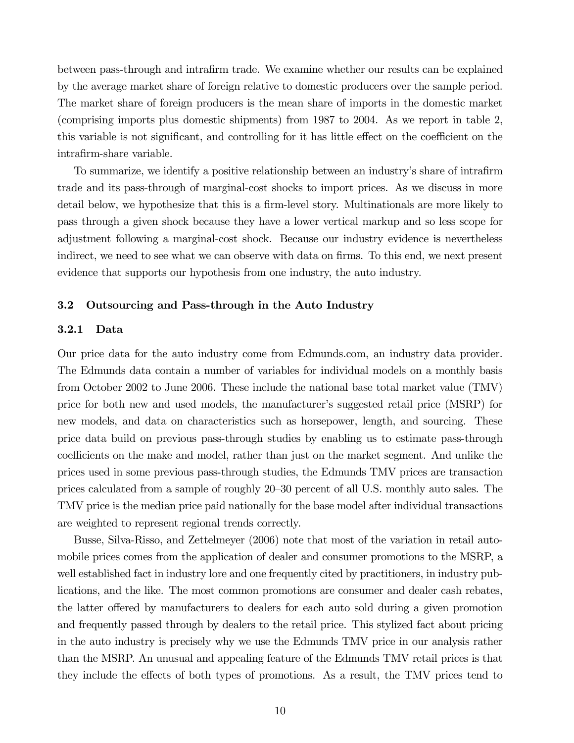between pass-through and intrafirm trade. We examine whether our results can be explained by the average market share of foreign relative to domestic producers over the sample period. The market share of foreign producers is the mean share of imports in the domestic market (comprising imports plus domestic shipments) from 1987 to 2004. As we report in table 2, this variable is not significant, and controlling for it has little effect on the coefficient on the intrafirm-share variable.

To summarize, we identify a positive relationship between an industry's share of intrafirm trade and its pass-through of marginal-cost shocks to import prices. As we discuss in more detail below, we hypothesize that this is a firm-level story. Multinationals are more likely to pass through a given shock because they have a lower vertical markup and so less scope for adjustment following a marginal-cost shock. Because our industry evidence is nevertheless indirect, we need to see what we can observe with data on firms. To this end, we next present evidence that supports our hypothesis from one industry, the auto industry.

#### 3.2 Outsourcing and Pass-through in the Auto Industry

#### 3.2.1 Data

Our price data for the auto industry come from Edmunds.com, an industry data provider. The Edmunds data contain a number of variables for individual models on a monthly basis from October 2002 to June 2006. These include the national base total market value (TMV) price for both new and used models, the manufacturer's suggested retail price (MSRP) for new models, and data on characteristics such as horsepower, length, and sourcing. These price data build on previous pass-through studies by enabling us to estimate pass-through coefficients on the make and model, rather than just on the market segment. And unlike the prices used in some previous pass-through studies, the Edmunds TMV prices are transaction prices calculated from a sample of roughly 20—30 percent of all U.S. monthly auto sales. The TMV price is the median price paid nationally for the base model after individual transactions are weighted to represent regional trends correctly.

Busse, Silva-Risso, and Zettelmeyer (2006) note that most of the variation in retail automobile prices comes from the application of dealer and consumer promotions to the MSRP, a well established fact in industry lore and one frequently cited by practitioners, in industry publications, and the like. The most common promotions are consumer and dealer cash rebates, the latter offered by manufacturers to dealers for each auto sold during a given promotion and frequently passed through by dealers to the retail price. This stylized fact about pricing in the auto industry is precisely why we use the Edmunds TMV price in our analysis rather than the MSRP. An unusual and appealing feature of the Edmunds TMV retail prices is that they include the effects of both types of promotions. As a result, the TMV prices tend to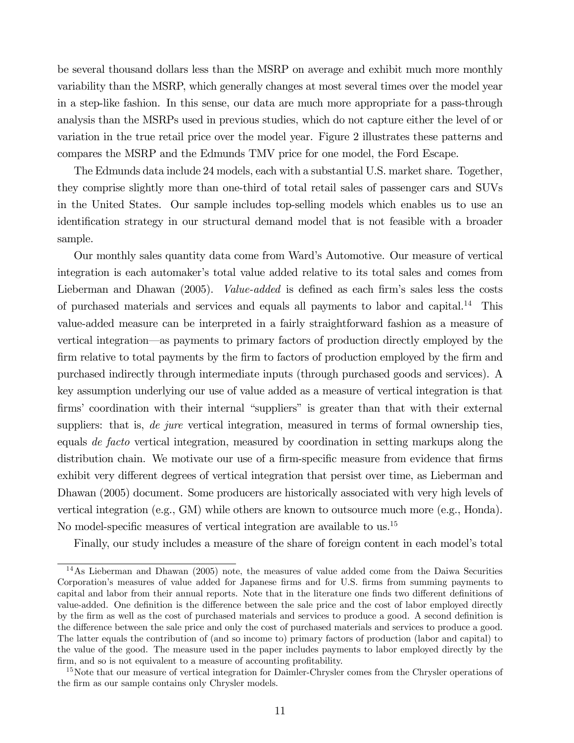be several thousand dollars less than the MSRP on average and exhibit much more monthly variability than the MSRP, which generally changes at most several times over the model year in a step-like fashion. In this sense, our data are much more appropriate for a pass-through analysis than the MSRPs used in previous studies, which do not capture either the level of or variation in the true retail price over the model year. Figure 2 illustrates these patterns and compares the MSRP and the Edmunds TMV price for one model, the Ford Escape.

The Edmunds data include 24 models, each with a substantial U.S. market share. Together, they comprise slightly more than one-third of total retail sales of passenger cars and SUVs in the United States. Our sample includes top-selling models which enables us to use an identification strategy in our structural demand model that is not feasible with a broader sample.

Our monthly sales quantity data come from Ward's Automotive. Our measure of vertical integration is each automaker's total value added relative to its total sales and comes from Lieberman and Dhawan (2005). Value-added is defined as each firm's sales less the costs of purchased materials and services and equals all payments to labor and capital.<sup>14</sup> This value-added measure can be interpreted in a fairly straightforward fashion as a measure of vertical integration–as payments to primary factors of production directly employed by the firm relative to total payments by the firm to factors of production employed by the firm and purchased indirectly through intermediate inputs (through purchased goods and services). A key assumption underlying our use of value added as a measure of vertical integration is that firms' coordination with their internal "suppliers" is greater than that with their external suppliers: that is, *de jure* vertical integration, measured in terms of formal ownership ties, equals de facto vertical integration, measured by coordination in setting markups along the distribution chain. We motivate our use of a firm-specific measure from evidence that firms exhibit very different degrees of vertical integration that persist over time, as Lieberman and Dhawan (2005) document. Some producers are historically associated with very high levels of vertical integration (e.g., GM) while others are known to outsource much more (e.g., Honda). No model-specific measures of vertical integration are available to us.15

Finally, our study includes a measure of the share of foreign content in each model's total

<sup>14</sup>As Lieberman and Dhawan (2005) note, the measures of value added come from the Daiwa Securities Corporation's measures of value added for Japanese firms and for U.S. firms from summing payments to capital and labor from their annual reports. Note that in the literature one finds two different definitions of value-added. One definition is the difference between the sale price and the cost of labor employed directly by the firm as well as the cost of purchased materials and services to produce a good. A second definition is the difference between the sale price and only the cost of purchased materials and services to produce a good. The latter equals the contribution of (and so income to) primary factors of production (labor and capital) to the value of the good. The measure used in the paper includes payments to labor employed directly by the firm, and so is not equivalent to a measure of accounting profitability.

<sup>&</sup>lt;sup>15</sup>Note that our measure of vertical integration for Daimler-Chrysler comes from the Chrysler operations of the firm as our sample contains only Chrysler models.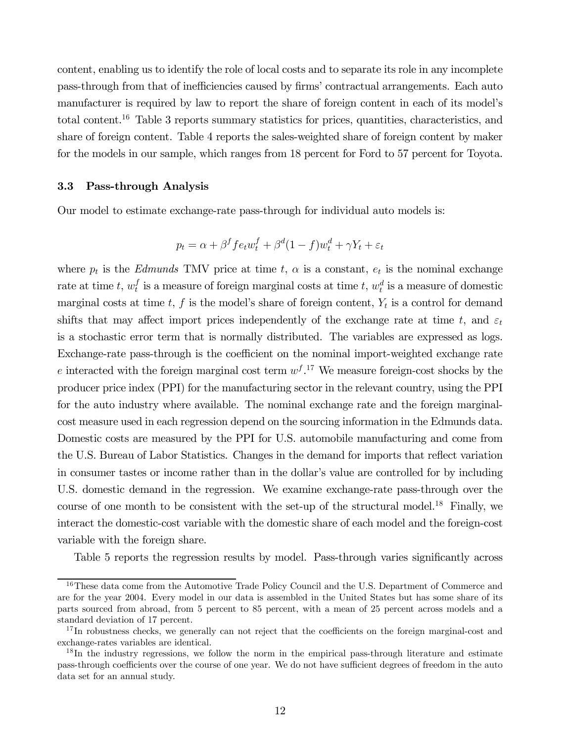content, enabling us to identify the role of local costs and to separate its role in any incomplete pass-through from that of inefficiencies caused by firms' contractual arrangements. Each auto manufacturer is required by law to report the share of foreign content in each of its model's total content.16 Table 3 reports summary statistics for prices, quantities, characteristics, and share of foreign content. Table 4 reports the sales-weighted share of foreign content by maker for the models in our sample, which ranges from 18 percent for Ford to 57 percent for Toyota.

#### 3.3 Pass-through Analysis

Our model to estimate exchange-rate pass-through for individual auto models is:

$$
p_t = \alpha + \beta^f f e_t w_t^f + \beta^d (1 - f) w_t^d + \gamma Y_t + \varepsilon_t
$$

where  $p_t$  is the Edmunds TMV price at time t,  $\alpha$  is a constant,  $e_t$  is the nominal exchange rate at time t,  $w_t^f$  is a measure of foreign marginal costs at time t,  $w_t^d$  is a measure of domestic marginal costs at time t, f is the model's share of foreign content,  $Y_t$  is a control for demand shifts that may affect import prices independently of the exchange rate at time t, and  $\varepsilon_t$ is a stochastic error term that is normally distributed. The variables are expressed as logs. Exchange-rate pass-through is the coefficient on the nominal import-weighted exchange rate e interacted with the foreign marginal cost term  $w<sup>f</sup>$ .<sup>17</sup> We measure foreign-cost shocks by the producer price index (PPI) for the manufacturing sector in the relevant country, using the PPI for the auto industry where available. The nominal exchange rate and the foreign marginalcost measure used in each regression depend on the sourcing information in the Edmunds data. Domestic costs are measured by the PPI for U.S. automobile manufacturing and come from the U.S. Bureau of Labor Statistics. Changes in the demand for imports that reflect variation in consumer tastes or income rather than in the dollar's value are controlled for by including U.S. domestic demand in the regression. We examine exchange-rate pass-through over the course of one month to be consistent with the set-up of the structural model.<sup>18</sup> Finally, we interact the domestic-cost variable with the domestic share of each model and the foreign-cost variable with the foreign share.

Table 5 reports the regression results by model. Pass-through varies significantly across

<sup>&</sup>lt;sup>16</sup>These data come from the Automotive Trade Policy Council and the U.S. Department of Commerce and are for the year 2004. Every model in our data is assembled in the United States but has some share of its parts sourced from abroad, from 5 percent to 85 percent, with a mean of 25 percent across models and a standard deviation of 17 percent.

<sup>&</sup>lt;sup>17</sup>In robustness checks, we generally can not reject that the coefficients on the foreign marginal-cost and exchange-rates variables are identical.

<sup>&</sup>lt;sup>18</sup>In the industry regressions, we follow the norm in the empirical pass-through literature and estimate pass-through coefficients over the course of one year. We do not have sufficient degrees of freedom in the auto data set for an annual study.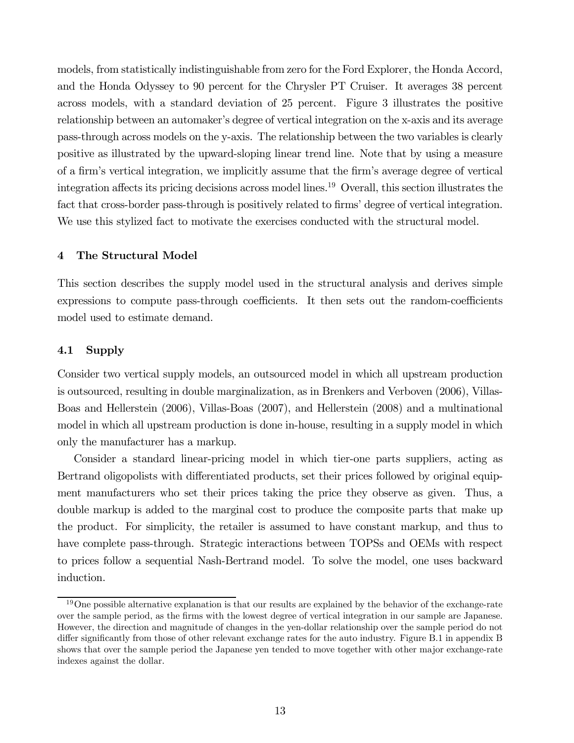models, from statistically indistinguishable from zero for the Ford Explorer, the Honda Accord, and the Honda Odyssey to 90 percent for the Chrysler PT Cruiser. It averages 38 percent across models, with a standard deviation of 25 percent. Figure 3 illustrates the positive relationship between an automaker's degree of vertical integration on the x-axis and its average pass-through across models on the y-axis. The relationship between the two variables is clearly positive as illustrated by the upward-sloping linear trend line. Note that by using a measure of a firm's vertical integration, we implicitly assume that the firm's average degree of vertical integration affects its pricing decisions across model lines.19 Overall, this section illustrates the fact that cross-border pass-through is positively related to firms' degree of vertical integration. We use this stylized fact to motivate the exercises conducted with the structural model.

#### 4 The Structural Model

This section describes the supply model used in the structural analysis and derives simple expressions to compute pass-through coefficients. It then sets out the random-coefficients model used to estimate demand.

#### 4.1 Supply

Consider two vertical supply models, an outsourced model in which all upstream production is outsourced, resulting in double marginalization, as in Brenkers and Verboven (2006), Villas-Boas and Hellerstein (2006), Villas-Boas (2007), and Hellerstein (2008) and a multinational model in which all upstream production is done in-house, resulting in a supply model in which only the manufacturer has a markup.

Consider a standard linear-pricing model in which tier-one parts suppliers, acting as Bertrand oligopolists with differentiated products, set their prices followed by original equipment manufacturers who set their prices taking the price they observe as given. Thus, a double markup is added to the marginal cost to produce the composite parts that make up the product. For simplicity, the retailer is assumed to have constant markup, and thus to have complete pass-through. Strategic interactions between TOPSs and OEMs with respect to prices follow a sequential Nash-Bertrand model. To solve the model, one uses backward induction.

<sup>&</sup>lt;sup>19</sup>One possible alternative explanation is that our results are explained by the behavior of the exchange-rate over the sample period, as the firms with the lowest degree of vertical integration in our sample are Japanese. However, the direction and magnitude of changes in the yen-dollar relationship over the sample period do not differ significantly from those of other relevant exchange rates for the auto industry. Figure B.1 in appendix B shows that over the sample period the Japanese yen tended to move together with other major exchange-rate indexes against the dollar.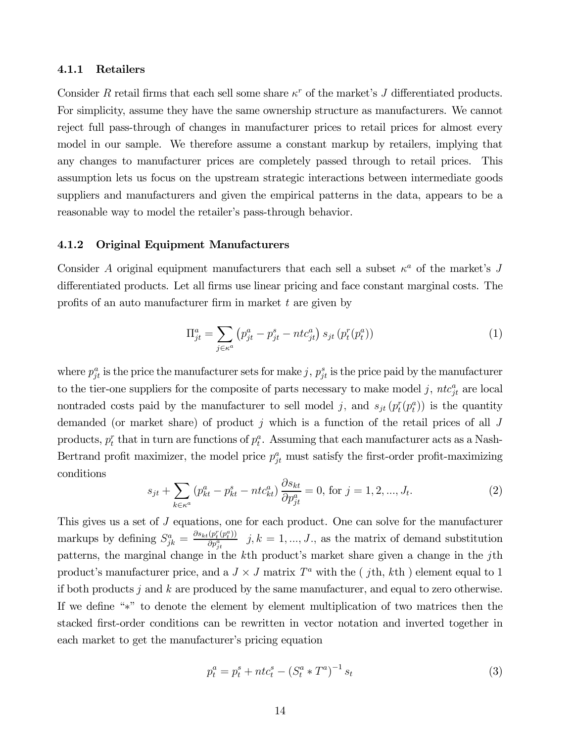#### 4.1.1 Retailers

Consider R retail firms that each sell some share  $\kappa^r$  of the market's J differentiated products. For simplicity, assume they have the same ownership structure as manufacturers. We cannot reject full pass-through of changes in manufacturer prices to retail prices for almost every model in our sample. We therefore assume a constant markup by retailers, implying that any changes to manufacturer prices are completely passed through to retail prices. This assumption lets us focus on the upstream strategic interactions between intermediate goods suppliers and manufacturers and given the empirical patterns in the data, appears to be a reasonable way to model the retailer's pass-through behavior.

#### 4.1.2 Original Equipment Manufacturers

Consider A original equipment manufacturers that each sell a subset  $\kappa^a$  of the market's J differentiated products. Let all firms use linear pricing and face constant marginal costs. The profits of an auto manufacturer firm in market  $t$  are given by

$$
\Pi_{jt}^{a} = \sum_{j \in \kappa^{a}} \left( p_{jt}^{a} - p_{jt}^{s} - n t c_{jt}^{a} \right) s_{jt} \left( p_{t}^{r} (p_{t}^{a}) \right)
$$
\n(1)

where  $p_{jt}^a$  is the price the manufacturer sets for make j,  $p_{jt}^s$  is the price paid by the manufacturer to the tier-one suppliers for the composite of parts necessary to make model j,  $ntc_{jt}^{a}$  are local nontraded costs paid by the manufacturer to sell model j, and  $s_{jt}(p_t^r(p_t^a))$  is the quantity demanded (or market share) of product  $j$  which is a function of the retail prices of all  $J$ products,  $p_t^r$  that in turn are functions of  $p_t^a$ . Assuming that each manufacturer acts as a Nash-Bertrand profit maximizer, the model price  $p_{jt}^a$  must satisfy the first-order profit-maximizing conditions

$$
s_{jt} + \sum_{k \in \kappa^a} (p_{kt}^a - p_{kt}^s - nt c_{kt}^a) \frac{\partial s_{kt}}{\partial p_{jt}^a} = 0, \text{ for } j = 1, 2, ..., J_t.
$$
 (2)

This gives us a set of J equations, one for each product. One can solve for the manufacturer markups by defining  $S_{jk}^a = \frac{\partial s_{kt}(p_t^r(p_t^a))}{\partial p_x^a}$  $\frac{\partial p_i}{\partial p_{jt}^a}$  j,  $k = 1, ..., J$ , as the matrix of demand substitution patterns, the marginal change in the kth product's market share given a change in the jth product's manufacturer price, and a  $J \times J$  matrix  $T^a$  with the (*j*th, *k*th) element equal to 1 if both products  $j$  and  $k$  are produced by the same manufacturer, and equal to zero otherwise. If we define "∗" to denote the element by element multiplication of two matrices then the stacked first-order conditions can be rewritten in vector notation and inverted together in each market to get the manufacturer's pricing equation

$$
p_t^a = p_t^s + nt c_t^s - (S_t^a * T^a)^{-1} s_t
$$
\n(3)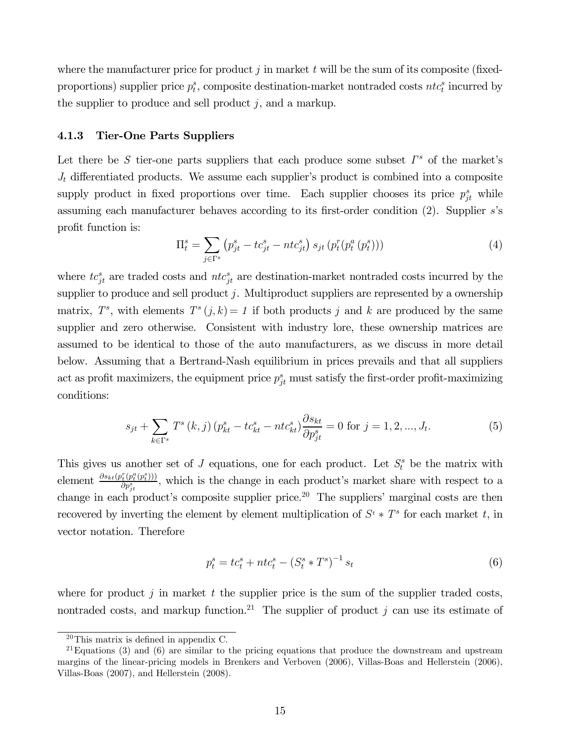where the manufacturer price for product  $j$  in market  $t$  will be the sum of its composite (fixedproportions) supplier price  $p_t^s$ , composite destination-market nontraded costs  $ntc_t^s$  incurred by the supplier to produce and sell product  $j$ , and a markup.

#### 4.1.3 Tier-One Parts Suppliers

Let there be S tier-one parts suppliers that each produce some subset  $\Gamma^s$  of the market's  $J_t$  differentiated products. We assume each supplier's product is combined into a composite supply product in fixed proportions over time. Each supplier chooses its price  $p_{jt}^s$  while assuming each manufacturer behaves according to its first-order condition (2). Supplier s's profit function is:

$$
\Pi_t^s = \sum_{j \in \Gamma^s} \left( p_{jt}^s - t c_{jt}^s - n t c_{jt}^s \right) s_{jt} \left( p_t^r (p_t^a \left( p_t^s \right)) \right) \tag{4}
$$

where  $tc_{jt}^s$  are traded costs and  $ntc_{jt}^s$  are destination-market nontraded costs incurred by the supplier to produce and sell product  $j$ . Multiproduct suppliers are represented by a ownership matrix,  $T^s$ , with elements  $T^s$   $(j, k) = 1$  if both products j and k are produced by the same supplier and zero otherwise. Consistent with industry lore, these ownership matrices are assumed to be identical to those of the auto manufacturers, as we discuss in more detail below. Assuming that a Bertrand-Nash equilibrium in prices prevails and that all suppliers act as profit maximizers, the equipment price  $p_{jt}^s$  must satisfy the first-order profit-maximizing conditions:

$$
s_{jt} + \sum_{k \in \Gamma^s} T^s(k, j) \left( p_{kt}^s - t c_{kt}^s - n t c_{kt}^s \right) \frac{\partial s_{kt}}{\partial p_{jt}^s} = 0 \text{ for } j = 1, 2, ..., J_t.
$$
 (5)

This gives us another set of  $J$  equations, one for each product. Let  $S_t^s$  be the matrix with element  $\frac{\partial s_{kt}(p_t^r(p_t^a(p_t^s)))}{\partial p_s^s}$  $\frac{\partial F_t(p_t^x(p_t^x))}{\partial p_{jt}^s}$ , which is the change in each product's market share with respect to a change in each product's composite supplier price.<sup>20</sup> The suppliers' marginal costs are then recovered by inverting the element by element multiplication of  $S<sup>t</sup> * T<sup>s</sup>$  for each market t, in vector notation. Therefore

$$
p_t^s = t c_t^s + n t c_t^s - (S_t^s * T^s)^{-1} s_t
$$
\n(6)

where for product  $j$  in market  $t$  the supplier price is the sum of the supplier traded costs, nontraded costs, and markup function.<sup>21</sup> The supplier of product j can use its estimate of

<sup>20</sup>This matrix is defined in appendix C.

 $21$ Equations (3) and (6) are similar to the pricing equations that produce the downstream and upstream margins of the linear-pricing models in Brenkers and Verboven (2006), Villas-Boas and Hellerstein (2006), Villas-Boas (2007), and Hellerstein (2008).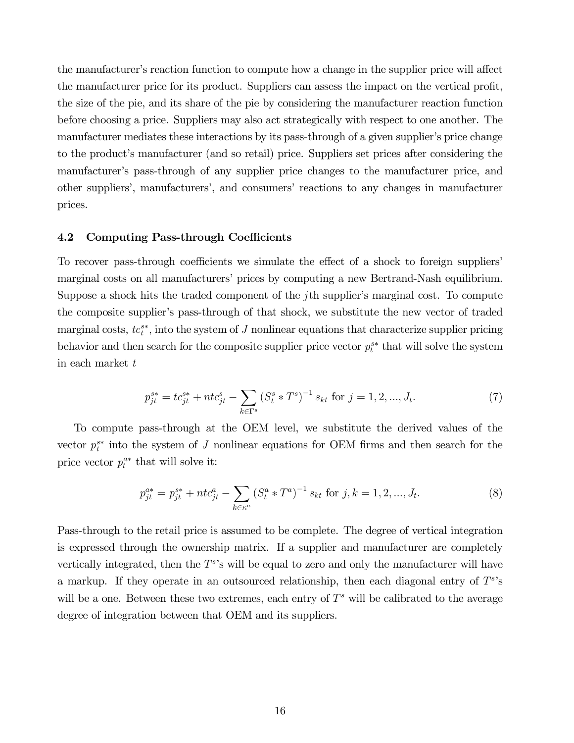the manufacturer's reaction function to compute how a change in the supplier price will affect the manufacturer price for its product. Suppliers can assess the impact on the vertical profit, the size of the pie, and its share of the pie by considering the manufacturer reaction function before choosing a price. Suppliers may also act strategically with respect to one another. The manufacturer mediates these interactions by its pass-through of a given supplier's price change to the product's manufacturer (and so retail) price. Suppliers set prices after considering the manufacturer's pass-through of any supplier price changes to the manufacturer price, and other suppliers', manufacturers', and consumers' reactions to any changes in manufacturer prices.

#### 4.2 Computing Pass-through Coefficients

To recover pass-through coefficients we simulate the effect of a shock to foreign suppliers' marginal costs on all manufacturers' prices by computing a new Bertrand-Nash equilibrium. Suppose a shock hits the traded component of the jth supplier's marginal cost. To compute the composite supplier's pass-through of that shock, we substitute the new vector of traded marginal costs,  $tc_i^{s*}$ , into the system of J nonlinear equations that characterize supplier pricing behavior and then search for the composite supplier price vector  $p_t^{s*}$  that will solve the system in each market t

$$
p_{jt}^{s*} = tc_{jt}^{s*} + ntc_{jt}^{s} - \sum_{k \in \Gamma^{s}} (S_t^s * T^s)^{-1} s_{kt} \text{ for } j = 1, 2, ..., J_t.
$$
 (7)

To compute pass-through at the OEM level, we substitute the derived values of the vector  $p_t^{s*}$  into the system of J nonlinear equations for OEM firms and then search for the price vector  $p_t^{a*}$  that will solve it:

$$
p_{jt}^{a*} = p_{jt}^{s*} + nt c_{jt}^{a} - \sum_{k \in \kappa^{a}} \left( S_t^a * T^a \right)^{-1} s_{kt} \text{ for } j, k = 1, 2, ..., J_t.
$$
 (8)

Pass-through to the retail price is assumed to be complete. The degree of vertical integration is expressed through the ownership matrix. If a supplier and manufacturer are completely vertically integrated, then the  $T^s$ 's will be equal to zero and only the manufacturer will have a markup. If they operate in an outsourced relationship, then each diagonal entry of  $T^{s}$ 's will be a one. Between these two extremes, each entry of  $T^s$  will be calibrated to the average degree of integration between that OEM and its suppliers.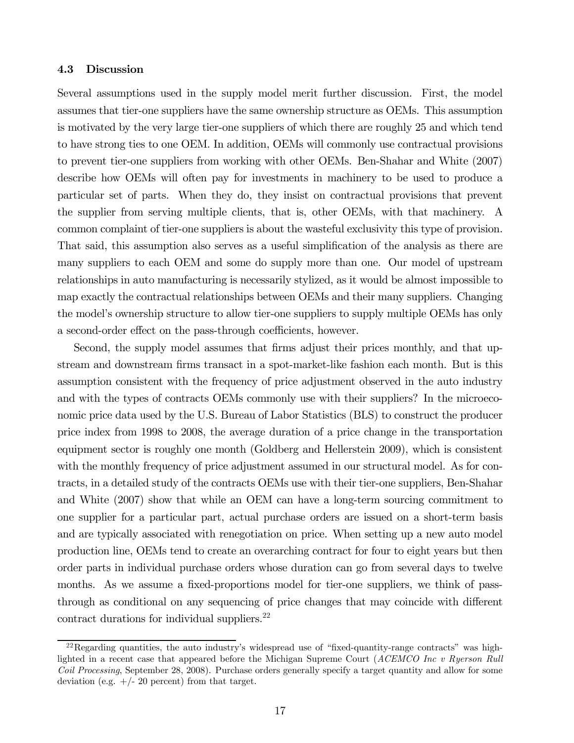#### 4.3 Discussion

Several assumptions used in the supply model merit further discussion. First, the model assumes that tier-one suppliers have the same ownership structure as OEMs. This assumption is motivated by the very large tier-one suppliers of which there are roughly 25 and which tend to have strong ties to one OEM. In addition, OEMs will commonly use contractual provisions to prevent tier-one suppliers from working with other OEMs. Ben-Shahar and White (2007) describe how OEMs will often pay for investments in machinery to be used to produce a particular set of parts. When they do, they insist on contractual provisions that prevent the supplier from serving multiple clients, that is, other OEMs, with that machinery. A common complaint of tier-one suppliers is about the wasteful exclusivity this type of provision. That said, this assumption also serves as a useful simplification of the analysis as there are many suppliers to each OEM and some do supply more than one. Our model of upstream relationships in auto manufacturing is necessarily stylized, as it would be almost impossible to map exactly the contractual relationships between OEMs and their many suppliers. Changing the model's ownership structure to allow tier-one suppliers to supply multiple OEMs has only a second-order effect on the pass-through coefficients, however.

Second, the supply model assumes that firms adjust their prices monthly, and that upstream and downstream firms transact in a spot-market-like fashion each month. But is this assumption consistent with the frequency of price adjustment observed in the auto industry and with the types of contracts OEMs commonly use with their suppliers? In the microeconomic price data used by the U.S. Bureau of Labor Statistics (BLS) to construct the producer price index from 1998 to 2008, the average duration of a price change in the transportation equipment sector is roughly one month (Goldberg and Hellerstein 2009), which is consistent with the monthly frequency of price adjustment assumed in our structural model. As for contracts, in a detailed study of the contracts OEMs use with their tier-one suppliers, Ben-Shahar and White (2007) show that while an OEM can have a long-term sourcing commitment to one supplier for a particular part, actual purchase orders are issued on a short-term basis and are typically associated with renegotiation on price. When setting up a new auto model production line, OEMs tend to create an overarching contract for four to eight years but then order parts in individual purchase orders whose duration can go from several days to twelve months. As we assume a fixed-proportions model for tier-one suppliers, we think of passthrough as conditional on any sequencing of price changes that may coincide with different contract durations for individual suppliers.<sup>22</sup>

 $^{22}$ Regarding quantities, the auto industry's widespread use of "fixed-quantity-range contracts" was highlighted in a recent case that appeared before the Michigan Supreme Court (ACEMCO Inc v Ryerson Rull Coil Processing, September 28, 2008). Purchase orders generally specify a target quantity and allow for some deviation (e.g.  $+/- 20$  percent) from that target.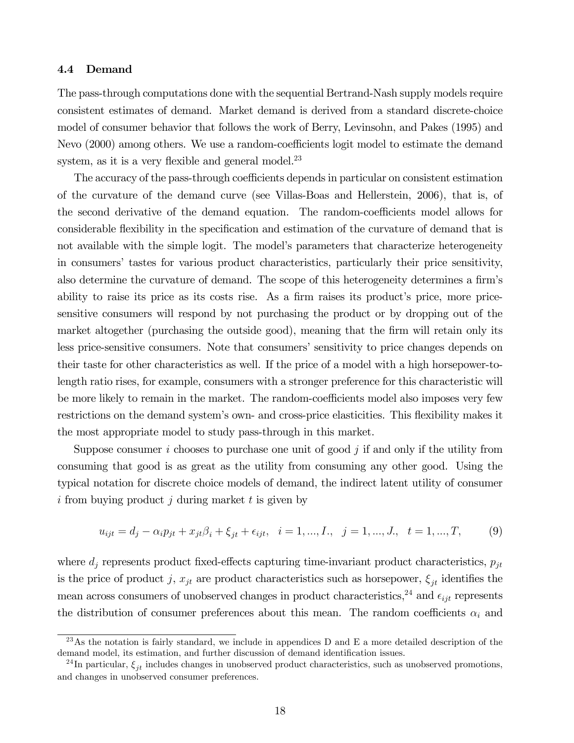#### 4.4 Demand

The pass-through computations done with the sequential Bertrand-Nash supply models require consistent estimates of demand. Market demand is derived from a standard discrete-choice model of consumer behavior that follows the work of Berry, Levinsohn, and Pakes (1995) and Nevo (2000) among others. We use a random-coefficients logit model to estimate the demand system, as it is a very flexible and general model. $^{23}$ 

The accuracy of the pass-through coefficients depends in particular on consistent estimation of the curvature of the demand curve (see Villas-Boas and Hellerstein, 2006), that is, of the second derivative of the demand equation. The random-coefficients model allows for considerable flexibility in the specification and estimation of the curvature of demand that is not available with the simple logit. The model's parameters that characterize heterogeneity in consumers' tastes for various product characteristics, particularly their price sensitivity, also determine the curvature of demand. The scope of this heterogeneity determines a firm's ability to raise its price as its costs rise. As a firm raises its product's price, more pricesensitive consumers will respond by not purchasing the product or by dropping out of the market altogether (purchasing the outside good), meaning that the firm will retain only its less price-sensitive consumers. Note that consumers' sensitivity to price changes depends on their taste for other characteristics as well. If the price of a model with a high horsepower-tolength ratio rises, for example, consumers with a stronger preference for this characteristic will be more likely to remain in the market. The random-coefficients model also imposes very few restrictions on the demand system's own- and cross-price elasticities. This flexibility makes it the most appropriate model to study pass-through in this market.

Suppose consumer i chooses to purchase one unit of good  $j$  if and only if the utility from consuming that good is as great as the utility from consuming any other good. Using the typical notation for discrete choice models of demand, the indirect latent utility of consumer i from buying product j during market  $t$  is given by

$$
u_{ijt} = d_j - \alpha_i p_{jt} + x_{jt} \beta_i + \xi_{jt} + \epsilon_{ijt}, \quad i = 1, ..., I., \quad j = 1, ..., J., \quad t = 1, ..., T,
$$
 (9)

where  $d_j$  represents product fixed-effects capturing time-invariant product characteristics,  $p_{jt}$ is the price of product j,  $x_{jt}$  are product characteristics such as horsepower,  $\xi_{jt}$  identifies the mean across consumers of unobserved changes in product characteristics,<sup>24</sup> and  $\epsilon_{ijt}$  represents the distribution of consumer preferences about this mean. The random coefficients  $\alpha_i$  and

<sup>&</sup>lt;sup>23</sup>As the notation is fairly standard, we include in appendices D and E a more detailed description of the demand model, its estimation, and further discussion of demand identification issues.

<sup>&</sup>lt;sup>24</sup>In particular,  $\xi_{it}$  includes changes in unobserved product characteristics, such as unobserved promotions, and changes in unobserved consumer preferences.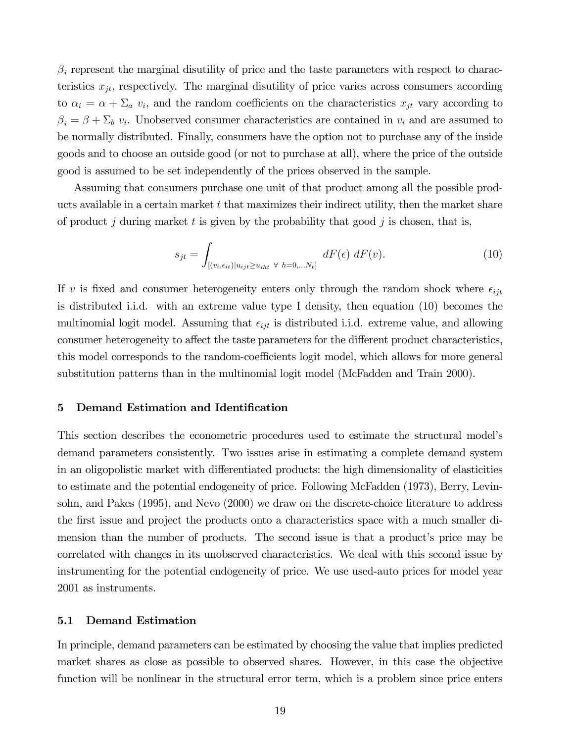$\beta_i$  represent the marginal disutility of price and the taste parameters with respect to characteristics  $x_{jt}$ , respectively. The marginal disutility of price varies across consumers according to  $\alpha_i = \alpha + \Sigma_a v_i$ , and the random coefficients on the characteristics  $x_{jt}$  vary according to  $\beta_i = \beta + \Sigma_b v_i$ . Unobserved consumer characteristics are contained in  $v_i$  and are assumed to be normally distributed. Finally, consumers have the option not to purchase any of the inside goods and to choose an outside good (or not to purchase at all), where the price of the outside good is assumed to be set independently of the prices observed in the sample.

Assuming that consumers purchase one unit of that product among all the possible products available in a certain market  $t$  that maximizes their indirect utility, then the market share of product j during market t is given by the probability that good j is chosen, that is,

$$
s_{jt} = \int_{[(v_i, \epsilon_{it})|u_{ijt} \ge u_{iht} \ \forall \ h=0,...N_t]} dF(\epsilon) dF(v). \tag{10}
$$

If v is fixed and consumer heterogeneity enters only through the random shock where  $\epsilon_{ijt}$ is distributed i.i.d. with an extreme value type I density, then equation (10) becomes the multinomial logit model. Assuming that  $\epsilon_{ijt}$  is distributed i.i.d. extreme value, and allowing consumer heterogeneity to affect the taste parameters for the different product characteristics, this model corresponds to the random-coefficients logit model, which allows for more general substitution patterns than in the multinomial logit model (McFadden and Train 2000).

#### 5 Demand Estimation and Identification

This section describes the econometric procedures used to estimate the structural model's demand parameters consistently. Two issues arise in estimating a complete demand system in an oligopolistic market with differentiated products: the high dimensionality of elasticities to estimate and the potential endogeneity of price. Following McFadden (1973), Berry, Levinsohn, and Pakes (1995), and Nevo (2000) we draw on the discrete-choice literature to address the first issue and project the products onto a characteristics space with a much smaller dimension than the number of products. The second issue is that a product's price may be correlated with changes in its unobserved characteristics. We deal with this second issue by instrumenting for the potential endogeneity of price. We use used-auto prices for model year 2001 as instruments.

#### 5.1 Demand Estimation

In principle, demand parameters can be estimated by choosing the value that implies predicted market shares as close as possible to observed shares. However, in this case the objective function will be nonlinear in the structural error term, which is a problem since price enters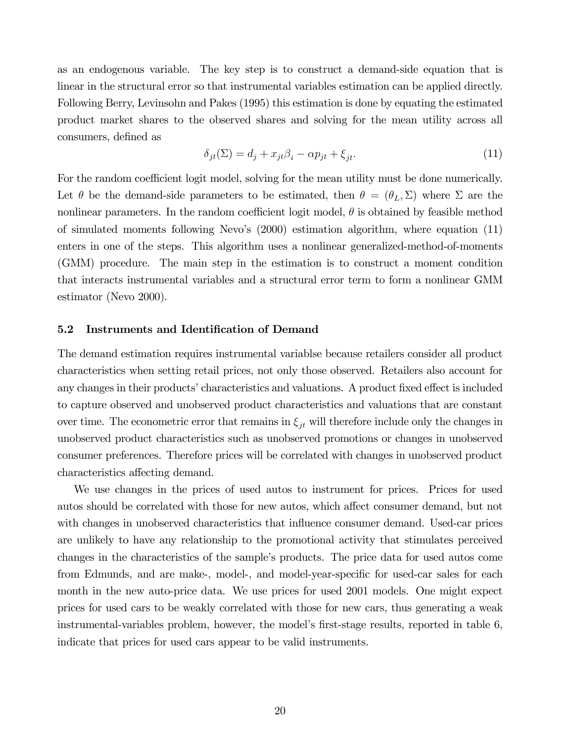as an endogenous variable. The key step is to construct a demand-side equation that is linear in the structural error so that instrumental variables estimation can be applied directly. Following Berry, Levinsohn and Pakes (1995) this estimation is done by equating the estimated product market shares to the observed shares and solving for the mean utility across all consumers, defined as

$$
\delta_{jt}(\Sigma) = d_j + x_{jt}\beta_i - \alpha p_{jt} + \xi_{jt}.
$$
\n(11)

For the random coefficient logit model, solving for the mean utility must be done numerically. Let  $\theta$  be the demand-side parameters to be estimated, then  $\theta = (\theta_L, \Sigma)$  where  $\Sigma$  are the nonlinear parameters. In the random coefficient logit model,  $\theta$  is obtained by feasible method of simulated moments following Nevo's (2000) estimation algorithm, where equation (11) enters in one of the steps. This algorithm uses a nonlinear generalized-method-of-moments (GMM) procedure. The main step in the estimation is to construct a moment condition that interacts instrumental variables and a structural error term to form a nonlinear GMM estimator (Nevo 2000).

#### 5.2 Instruments and Identification of Demand

The demand estimation requires instrumental variablse because retailers consider all product characteristics when setting retail prices, not only those observed. Retailers also account for any changes in their products' characteristics and valuations. A product fixed effect is included to capture observed and unobserved product characteristics and valuations that are constant over time. The econometric error that remains in  $\xi_{it}$  will therefore include only the changes in unobserved product characteristics such as unobserved promotions or changes in unobserved consumer preferences. Therefore prices will be correlated with changes in unobserved product characteristics affecting demand.

We use changes in the prices of used autos to instrument for prices. Prices for used autos should be correlated with those for new autos, which affect consumer demand, but not with changes in unobserved characteristics that influence consumer demand. Used-car prices are unlikely to have any relationship to the promotional activity that stimulates perceived changes in the characteristics of the sample's products. The price data for used autos come from Edmunds, and are make-, model-, and model-year-specific for used-car sales for each month in the new auto-price data. We use prices for used 2001 models. One might expect prices for used cars to be weakly correlated with those for new cars, thus generating a weak instrumental-variables problem, however, the model's first-stage results, reported in table 6, indicate that prices for used cars appear to be valid instruments.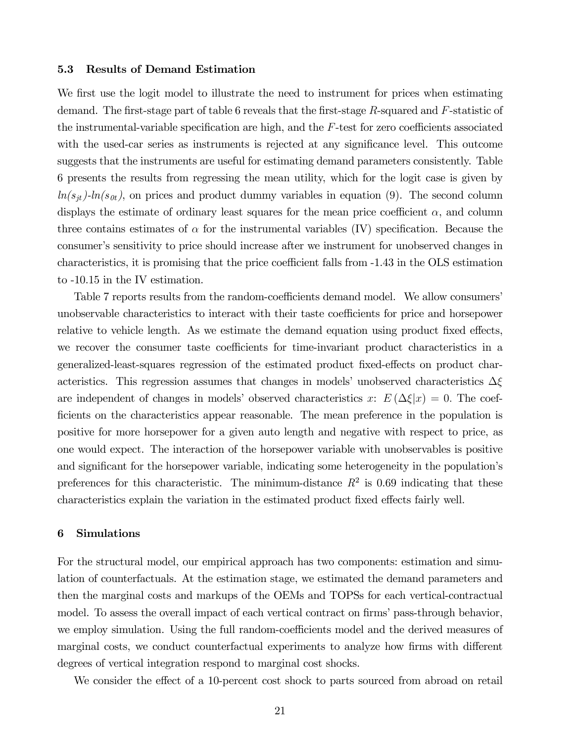#### 5.3 Results of Demand Estimation

We first use the logit model to illustrate the need to instrument for prices when estimating demand. The first-stage part of table 6 reveals that the first-stage  $R$ -squared and  $F$ -statistic of the instrumental-variable specification are high, and the  $F$ -test for zero coefficients associated with the used-car series as instruments is rejected at any significance level. This outcome suggests that the instruments are useful for estimating demand parameters consistently. Table 6 presents the results from regressing the mean utility, which for the logit case is given by  $ln(s_{jt})-ln(s_{0t})$ , on prices and product dummy variables in equation (9). The second column displays the estimate of ordinary least squares for the mean price coefficient  $\alpha$ , and column three contains estimates of  $\alpha$  for the instrumental variables (IV) specification. Because the consumer's sensitivity to price should increase after we instrument for unobserved changes in characteristics, it is promising that the price coefficient falls from -1.43 in the OLS estimation to -10.15 in the IV estimation.

Table 7 reports results from the random-coefficients demand model. We allow consumers' unobservable characteristics to interact with their taste coefficients for price and horsepower relative to vehicle length. As we estimate the demand equation using product fixed effects, we recover the consumer taste coefficients for time-invariant product characteristics in a generalized-least-squares regression of the estimated product fixed-effects on product characteristics. This regression assumes that changes in models' unobserved characteristics  $\Delta \xi$ are independent of changes in models' observed characteristics x:  $E(\Delta \xi|x)=0$ . The coefficients on the characteristics appear reasonable. The mean preference in the population is positive for more horsepower for a given auto length and negative with respect to price, as one would expect. The interaction of the horsepower variable with unobservables is positive and significant for the horsepower variable, indicating some heterogeneity in the population's preferences for this characteristic. The minimum-distance  $R^2$  is 0.69 indicating that these characteristics explain the variation in the estimated product fixed effects fairly well.

#### 6 Simulations

For the structural model, our empirical approach has two components: estimation and simulation of counterfactuals. At the estimation stage, we estimated the demand parameters and then the marginal costs and markups of the OEMs and TOPSs for each vertical-contractual model. To assess the overall impact of each vertical contract on firms' pass-through behavior, we employ simulation. Using the full random-coefficients model and the derived measures of marginal costs, we conduct counterfactual experiments to analyze how firms with different degrees of vertical integration respond to marginal cost shocks.

We consider the effect of a 10-percent cost shock to parts sourced from abroad on retail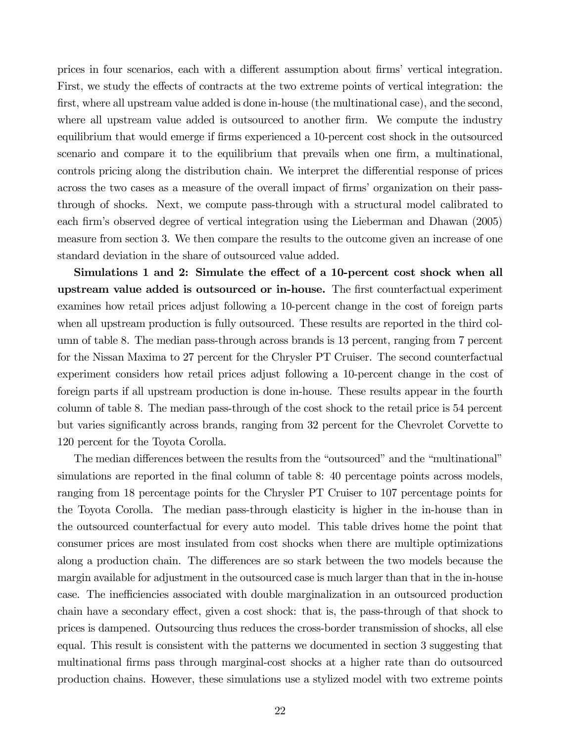prices in four scenarios, each with a different assumption about firms' vertical integration. First, we study the effects of contracts at the two extreme points of vertical integration: the first, where all upstream value added is done in-house (the multinational case), and the second, where all upstream value added is outsourced to another firm. We compute the industry equilibrium that would emerge if firms experienced a 10-percent cost shock in the outsourced scenario and compare it to the equilibrium that prevails when one firm, a multinational, controls pricing along the distribution chain. We interpret the differential response of prices across the two cases as a measure of the overall impact of firms' organization on their passthrough of shocks. Next, we compute pass-through with a structural model calibrated to each firm's observed degree of vertical integration using the Lieberman and Dhawan (2005) measure from section 3. We then compare the results to the outcome given an increase of one standard deviation in the share of outsourced value added.

Simulations 1 and 2: Simulate the effect of a 10-percent cost shock when all upstream value added is outsourced or in-house. The first counterfactual experiment examines how retail prices adjust following a 10-percent change in the cost of foreign parts when all upstream production is fully outsourced. These results are reported in the third column of table 8. The median pass-through across brands is 13 percent, ranging from 7 percent for the Nissan Maxima to 27 percent for the Chrysler PT Cruiser. The second counterfactual experiment considers how retail prices adjust following a 10-percent change in the cost of foreign parts if all upstream production is done in-house. These results appear in the fourth column of table 8. The median pass-through of the cost shock to the retail price is 54 percent but varies significantly across brands, ranging from 32 percent for the Chevrolet Corvette to 120 percent for the Toyota Corolla.

The median differences between the results from the "outsourced" and the "multinational" simulations are reported in the final column of table 8: 40 percentage points across models, ranging from 18 percentage points for the Chrysler PT Cruiser to 107 percentage points for the Toyota Corolla. The median pass-through elasticity is higher in the in-house than in the outsourced counterfactual for every auto model. This table drives home the point that consumer prices are most insulated from cost shocks when there are multiple optimizations along a production chain. The differences are so stark between the two models because the margin available for adjustment in the outsourced case is much larger than that in the in-house case. The inefficiencies associated with double marginalization in an outsourced production chain have a secondary effect, given a cost shock: that is, the pass-through of that shock to prices is dampened. Outsourcing thus reduces the cross-border transmission of shocks, all else equal. This result is consistent with the patterns we documented in section 3 suggesting that multinational firms pass through marginal-cost shocks at a higher rate than do outsourced production chains. However, these simulations use a stylized model with two extreme points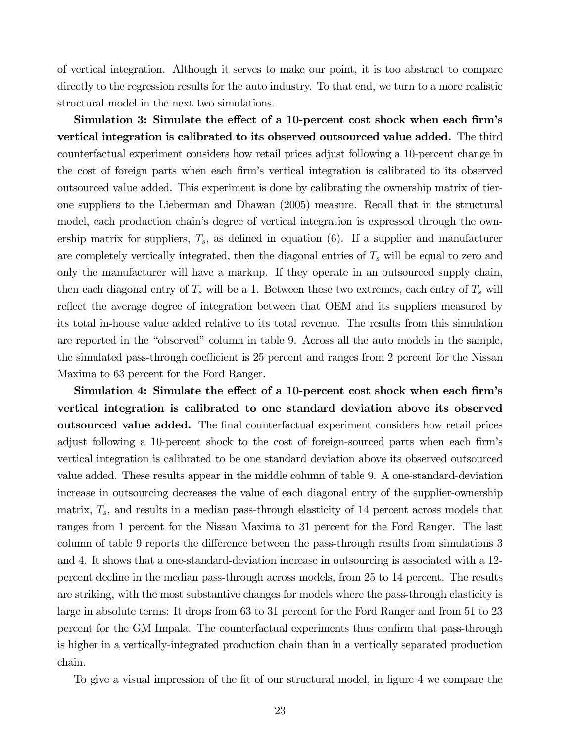of vertical integration. Although it serves to make our point, it is too abstract to compare directly to the regression results for the auto industry. To that end, we turn to a more realistic structural model in the next two simulations.

Simulation 3: Simulate the effect of a 10-percent cost shock when each firm's vertical integration is calibrated to its observed outsourced value added. The third counterfactual experiment considers how retail prices adjust following a 10-percent change in the cost of foreign parts when each firm's vertical integration is calibrated to its observed outsourced value added. This experiment is done by calibrating the ownership matrix of tierone suppliers to the Lieberman and Dhawan (2005) measure. Recall that in the structural model, each production chain's degree of vertical integration is expressed through the ownership matrix for suppliers,  $T_s$ , as defined in equation (6). If a supplier and manufacturer are completely vertically integrated, then the diagonal entries of  $T<sub>s</sub>$  will be equal to zero and only the manufacturer will have a markup. If they operate in an outsourced supply chain, then each diagonal entry of  $T_s$  will be a 1. Between these two extremes, each entry of  $T_s$  will reflect the average degree of integration between that OEM and its suppliers measured by its total in-house value added relative to its total revenue. The results from this simulation are reported in the "observed" column in table 9. Across all the auto models in the sample, the simulated pass-through coefficient is 25 percent and ranges from 2 percent for the Nissan Maxima to 63 percent for the Ford Ranger.

Simulation 4: Simulate the effect of a 10-percent cost shock when each firm's vertical integration is calibrated to one standard deviation above its observed outsourced value added. The final counterfactual experiment considers how retail prices adjust following a 10-percent shock to the cost of foreign-sourced parts when each firm's vertical integration is calibrated to be one standard deviation above its observed outsourced value added. These results appear in the middle column of table 9. A one-standard-deviation increase in outsourcing decreases the value of each diagonal entry of the supplier-ownership matrix,  $T_s$ , and results in a median pass-through elasticity of 14 percent across models that ranges from 1 percent for the Nissan Maxima to 31 percent for the Ford Ranger. The last column of table 9 reports the difference between the pass-through results from simulations 3 and 4. It shows that a one-standard-deviation increase in outsourcing is associated with a 12 percent decline in the median pass-through across models, from 25 to 14 percent. The results are striking, with the most substantive changes for models where the pass-through elasticity is large in absolute terms: It drops from 63 to 31 percent for the Ford Ranger and from 51 to 23 percent for the GM Impala. The counterfactual experiments thus confirm that pass-through is higher in a vertically-integrated production chain than in a vertically separated production chain.

To give a visual impression of the fit of our structural model, in figure 4 we compare the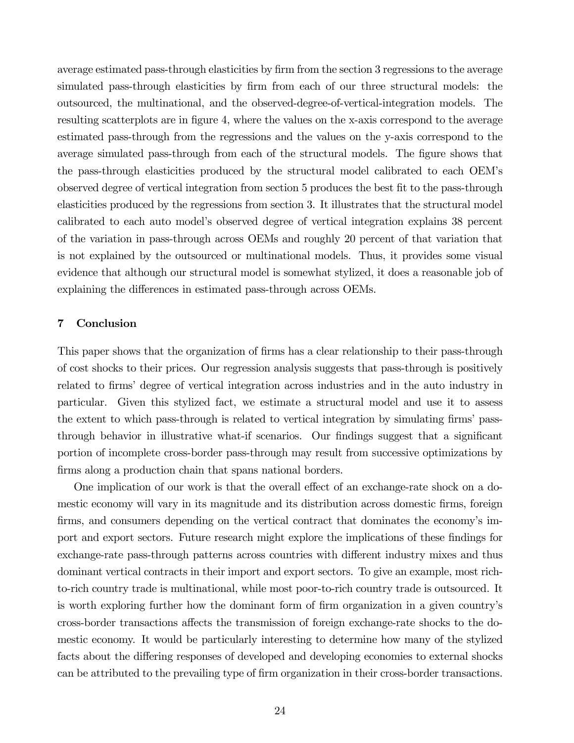average estimated pass-through elasticities by firm from the section 3 regressions to the average simulated pass-through elasticities by firm from each of our three structural models: the outsourced, the multinational, and the observed-degree-of-vertical-integration models. The resulting scatterplots are in figure 4, where the values on the x-axis correspond to the average estimated pass-through from the regressions and the values on the y-axis correspond to the average simulated pass-through from each of the structural models. The figure shows that the pass-through elasticities produced by the structural model calibrated to each OEM's observed degree of vertical integration from section 5 produces the best fit to the pass-through elasticities produced by the regressions from section 3. It illustrates that the structural model calibrated to each auto model's observed degree of vertical integration explains 38 percent of the variation in pass-through across OEMs and roughly 20 percent of that variation that is not explained by the outsourced or multinational models. Thus, it provides some visual evidence that although our structural model is somewhat stylized, it does a reasonable job of explaining the differences in estimated pass-through across OEMs.

#### 7 Conclusion

This paper shows that the organization of firms has a clear relationship to their pass-through of cost shocks to their prices. Our regression analysis suggests that pass-through is positively related to firms' degree of vertical integration across industries and in the auto industry in particular. Given this stylized fact, we estimate a structural model and use it to assess the extent to which pass-through is related to vertical integration by simulating firms' passthrough behavior in illustrative what-if scenarios. Our findings suggest that a significant portion of incomplete cross-border pass-through may result from successive optimizations by firms along a production chain that spans national borders.

One implication of our work is that the overall effect of an exchange-rate shock on a domestic economy will vary in its magnitude and its distribution across domestic firms, foreign firms, and consumers depending on the vertical contract that dominates the economy's import and export sectors. Future research might explore the implications of these findings for exchange-rate pass-through patterns across countries with different industry mixes and thus dominant vertical contracts in their import and export sectors. To give an example, most richto-rich country trade is multinational, while most poor-to-rich country trade is outsourced. It is worth exploring further how the dominant form of firm organization in a given country's cross-border transactions affects the transmission of foreign exchange-rate shocks to the domestic economy. It would be particularly interesting to determine how many of the stylized facts about the differing responses of developed and developing economies to external shocks can be attributed to the prevailing type of firm organization in their cross-border transactions.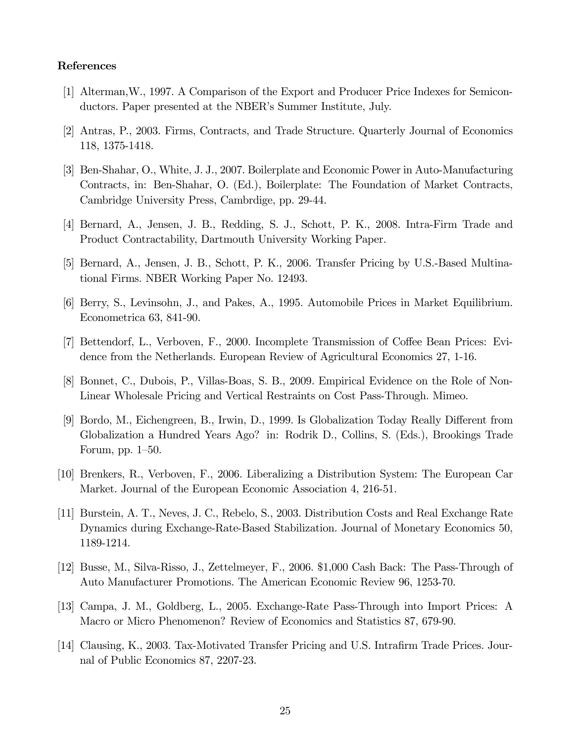#### References

- [1] Alterman,W., 1997. A Comparison of the Export and Producer Price Indexes for Semiconductors. Paper presented at the NBER's Summer Institute, July.
- [2] Antras, P., 2003. Firms, Contracts, and Trade Structure. Quarterly Journal of Economics 118, 1375-1418.
- [3] Ben-Shahar, O., White, J. J., 2007. Boilerplate and Economic Power in Auto-Manufacturing Contracts, in: Ben-Shahar, O. (Ed.), Boilerplate: The Foundation of Market Contracts, Cambridge University Press, Cambrdige, pp. 29-44.
- [4] Bernard, A., Jensen, J. B., Redding, S. J., Schott, P. K., 2008. Intra-Firm Trade and Product Contractability, Dartmouth University Working Paper.
- [5] Bernard, A., Jensen, J. B., Schott, P. K., 2006. Transfer Pricing by U.S.-Based Multinational Firms. NBER Working Paper No. 12493.
- [6] Berry, S., Levinsohn, J., and Pakes, A., 1995. Automobile Prices in Market Equilibrium. Econometrica 63, 841-90.
- [7] Bettendorf, L., Verboven, F., 2000. Incomplete Transmission of Coffee Bean Prices: Evidence from the Netherlands. European Review of Agricultural Economics 27, 1-16.
- [8] Bonnet, C., Dubois, P., Villas-Boas, S. B., 2009. Empirical Evidence on the Role of Non-Linear Wholesale Pricing and Vertical Restraints on Cost Pass-Through. Mimeo.
- [9] Bordo, M., Eichengreen, B., Irwin, D., 1999. Is Globalization Today Really Different from Globalization a Hundred Years Ago? in: Rodrik D., Collins, S. (Eds.), Brookings Trade Forum, pp. 1—50.
- [10] Brenkers, R., Verboven, F., 2006. Liberalizing a Distribution System: The European Car Market. Journal of the European Economic Association 4, 216-51.
- [11] Burstein, A. T., Neves, J. C., Rebelo, S., 2003. Distribution Costs and Real Exchange Rate Dynamics during Exchange-Rate-Based Stabilization. Journal of Monetary Economics 50, 1189-1214.
- [12] Busse, M., Silva-Risso, J., Zettelmeyer, F., 2006. \$1,000 Cash Back: The Pass-Through of Auto Manufacturer Promotions. The American Economic Review 96, 1253-70.
- [13] Campa, J. M., Goldberg, L., 2005. Exchange-Rate Pass-Through into Import Prices: A Macro or Micro Phenomenon? Review of Economics and Statistics 87, 679-90.
- [14] Clausing, K., 2003. Tax-Motivated Transfer Pricing and U.S. Intrafirm Trade Prices. Journal of Public Economics 87, 2207-23.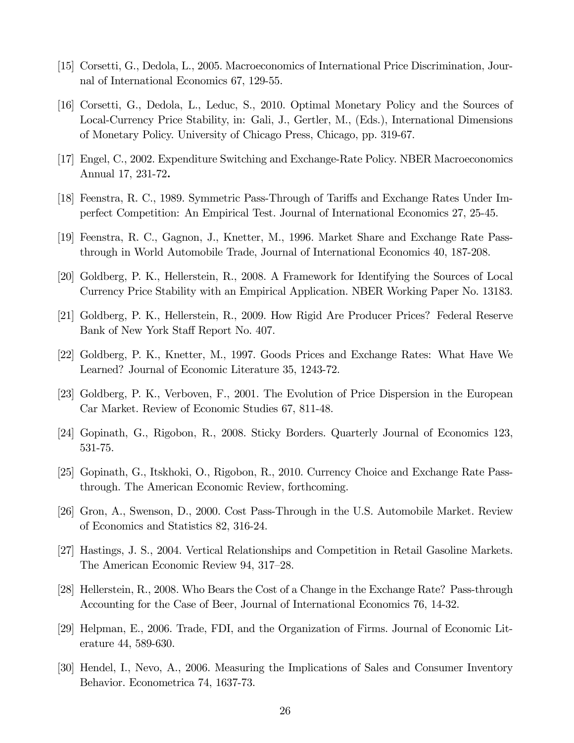- [15] Corsetti, G., Dedola, L., 2005. Macroeconomics of International Price Discrimination, Journal of International Economics 67, 129-55.
- [16] Corsetti, G., Dedola, L., Leduc, S., 2010. Optimal Monetary Policy and the Sources of Local-Currency Price Stability, in: Gali, J., Gertler, M., (Eds.), International Dimensions of Monetary Policy. University of Chicago Press, Chicago, pp. 319-67.
- [17] Engel, C., 2002. Expenditure Switching and Exchange-Rate Policy. NBER Macroeconomics Annual 17, 231-72.
- [18] Feenstra, R. C., 1989. Symmetric Pass-Through of Tariffs and Exchange Rates Under Imperfect Competition: An Empirical Test. Journal of International Economics 27, 25-45.
- [19] Feenstra, R. C., Gagnon, J., Knetter, M., 1996. Market Share and Exchange Rate Passthrough in World Automobile Trade, Journal of International Economics 40, 187-208.
- [20] Goldberg, P. K., Hellerstein, R., 2008. A Framework for Identifying the Sources of Local Currency Price Stability with an Empirical Application. NBER Working Paper No. 13183.
- [21] Goldberg, P. K., Hellerstein, R., 2009. How Rigid Are Producer Prices? Federal Reserve Bank of New York Staff Report No. 407.
- [22] Goldberg, P. K., Knetter, M., 1997. Goods Prices and Exchange Rates: What Have We Learned? Journal of Economic Literature 35, 1243-72.
- [23] Goldberg, P. K., Verboven, F., 2001. The Evolution of Price Dispersion in the European Car Market. Review of Economic Studies 67, 811-48.
- [24] Gopinath, G., Rigobon, R., 2008. Sticky Borders. Quarterly Journal of Economics 123, 531-75.
- [25] Gopinath, G., Itskhoki, O., Rigobon, R., 2010. Currency Choice and Exchange Rate Passthrough. The American Economic Review, forthcoming.
- [26] Gron, A., Swenson, D., 2000. Cost Pass-Through in the U.S. Automobile Market. Review of Economics and Statistics 82, 316-24.
- [27] Hastings, J. S., 2004. Vertical Relationships and Competition in Retail Gasoline Markets. The American Economic Review 94, 317—28.
- [28] Hellerstein, R., 2008. Who Bears the Cost of a Change in the Exchange Rate? Pass-through Accounting for the Case of Beer, Journal of International Economics 76, 14-32.
- [29] Helpman, E., 2006. Trade, FDI, and the Organization of Firms. Journal of Economic Literature 44, 589-630.
- [30] Hendel, I., Nevo, A., 2006. Measuring the Implications of Sales and Consumer Inventory Behavior. Econometrica 74, 1637-73.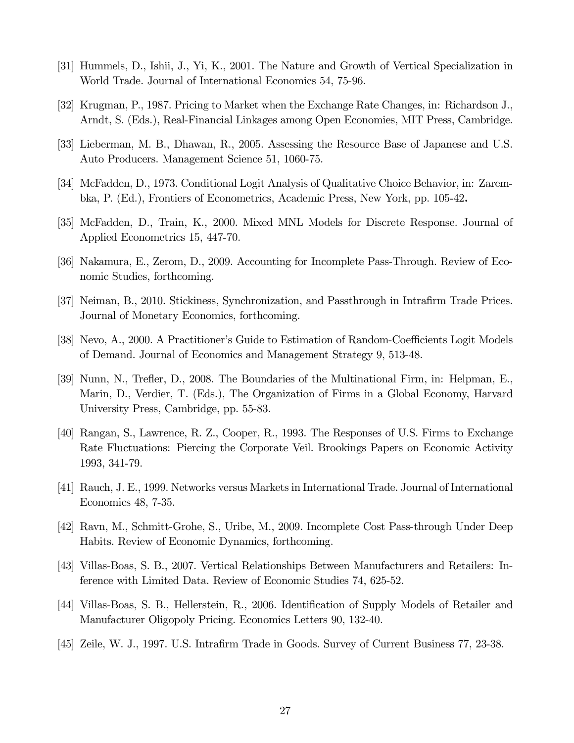- [31] Hummels, D., Ishii, J., Yi, K., 2001. The Nature and Growth of Vertical Specialization in World Trade. Journal of International Economics 54, 75-96.
- [32] Krugman, P., 1987. Pricing to Market when the Exchange Rate Changes, in: Richardson J., Arndt, S. (Eds.), Real-Financial Linkages among Open Economies, MIT Press, Cambridge.
- [33] Lieberman, M. B., Dhawan, R., 2005. Assessing the Resource Base of Japanese and U.S. Auto Producers. Management Science 51, 1060-75.
- [34] McFadden, D., 1973. Conditional Logit Analysis of Qualitative Choice Behavior, in: Zarembka, P. (Ed.), Frontiers of Econometrics, Academic Press, New York, pp. 105-42.
- [35] McFadden, D., Train, K., 2000. Mixed MNL Models for Discrete Response. Journal of Applied Econometrics 15, 447-70.
- [36] Nakamura, E., Zerom, D., 2009. Accounting for Incomplete Pass-Through. Review of Economic Studies, forthcoming.
- [37] Neiman, B., 2010. Stickiness, Synchronization, and Passthrough in Intrafirm Trade Prices. Journal of Monetary Economics, forthcoming.
- [38] Nevo, A., 2000. A Practitioner's Guide to Estimation of Random-Coefficients Logit Models of Demand. Journal of Economics and Management Strategy 9, 513-48.
- [39] Nunn, N., Trefler, D., 2008. The Boundaries of the Multinational Firm, in: Helpman, E., Marin, D., Verdier, T. (Eds.), The Organization of Firms in a Global Economy, Harvard University Press, Cambridge, pp. 55-83.
- [40] Rangan, S., Lawrence, R. Z., Cooper, R., 1993. The Responses of U.S. Firms to Exchange Rate Fluctuations: Piercing the Corporate Veil. Brookings Papers on Economic Activity 1993, 341-79.
- [41] Rauch, J. E., 1999. Networks versus Markets in International Trade. Journal of International Economics 48, 7-35.
- [42] Ravn, M., Schmitt-Grohe, S., Uribe, M., 2009. Incomplete Cost Pass-through Under Deep Habits. Review of Economic Dynamics, forthcoming.
- [43] Villas-Boas, S. B., 2007. Vertical Relationships Between Manufacturers and Retailers: Inference with Limited Data. Review of Economic Studies 74, 625-52.
- [44] Villas-Boas, S. B., Hellerstein, R., 2006. Identification of Supply Models of Retailer and Manufacturer Oligopoly Pricing. Economics Letters 90, 132-40.
- [45] Zeile, W. J., 1997. U.S. Intrafirm Trade in Goods. Survey of Current Business 77, 23-38.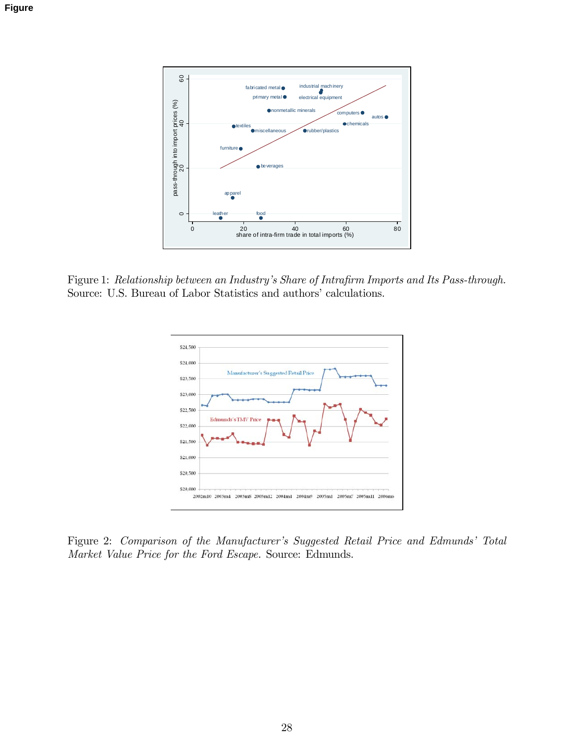

Figure 1: Relationship between an Industry's Share of Intrafirm Imports and Its Pass-through. Source: U.S. Bureau of Labor Statistics and authors' calculations.



Figure 2: Comparison of the Manufacturer's Suggested Retail Price and Edmunds' Total Market Value Price for the Ford Escape. Source: Edmunds.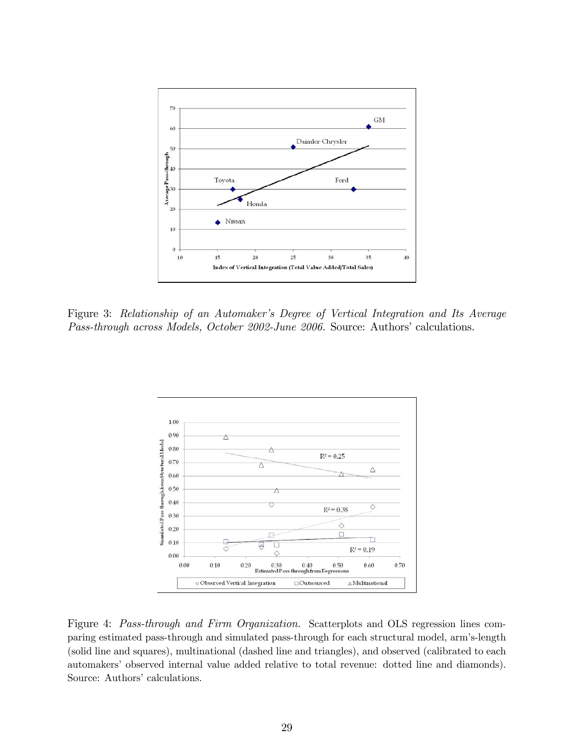

Figure 3: Relationship of an Automaker's Degree of Vertical Integration and Its Average Pass-through across Models, October 2002-June 2006. Source: Authors' calculations.



Figure 4: Pass-through and Firm Organization. Scatterplots and OLS regression lines comparing estimated pass-through and simulated pass-through for each structural model, arm's-length (solid line and squares), multinational (dashed line and triangles), and observed (calibrated to each automakers' observed internal value added relative to total revenue: dotted line and diamonds). Source: Authors' calculations.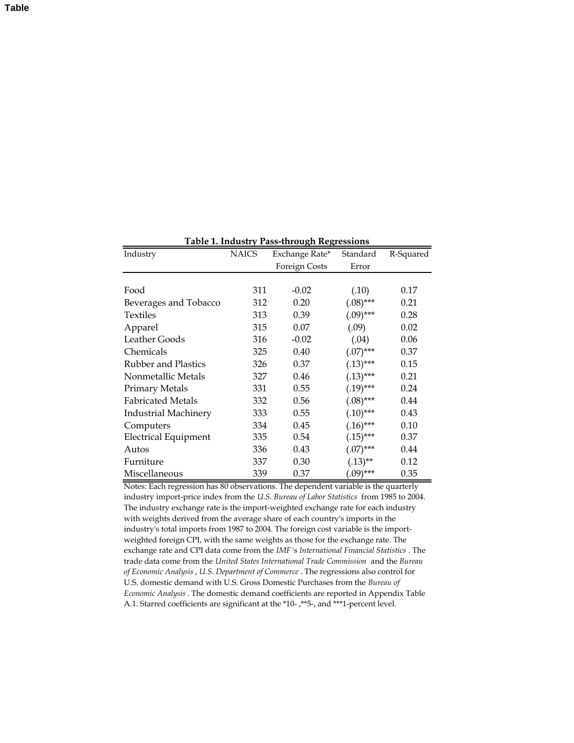| <b>Table 1. Industry Pass-through Regressions</b> |              |                |             |           |  |  |  |
|---------------------------------------------------|--------------|----------------|-------------|-----------|--|--|--|
| Industry                                          | <b>NAICS</b> | Exchange Rate* | Standard    | R-Squared |  |  |  |
|                                                   |              | Foreign Costs  | Error       |           |  |  |  |
|                                                   |              |                |             |           |  |  |  |
| Food                                              | 311          | $-0.02$        | (.10)       | 0.17      |  |  |  |
| Beverages and Tobacco                             | 312          | 0.20           | $(.08)$ *** | 0.21      |  |  |  |
| <b>Textiles</b>                                   | 313          | 0.39           | $(.09)$ *** | 0.28      |  |  |  |
| Apparel                                           | 315          | 0.07           | (.09)       | 0.02      |  |  |  |
| Leather Goods                                     | 316          | $-0.02$        | (.04)       | 0.06      |  |  |  |
| Chemicals                                         | 325          | 0.40           | $(.07)$ *** | 0.37      |  |  |  |
| Rubber and Plastics                               | 326          | 0.37           | $(.13)***$  | 0.15      |  |  |  |
| Nonmetallic Metals                                | 327          | 0.46           | $(.13)***$  | 0.21      |  |  |  |
| <b>Primary Metals</b>                             | 331          | 0.55           | $(.19)$ *** | 0.24      |  |  |  |
| <b>Fabricated Metals</b>                          | 332          | 0.56           | $(.08)$ *** | 0.44      |  |  |  |
| <b>Industrial Machinery</b>                       | 333          | 0.55           | $(.10)$ *** | 0.43      |  |  |  |
| Computers                                         | 334          | 0.45           | $(.16)$ *** | 0.10      |  |  |  |
| <b>Electrical Equipment</b>                       | 335          | 0.54           | $(.15)***$  | 0.37      |  |  |  |
| Autos                                             | 336          | 0.43           | $(.07)$ *** | 0.44      |  |  |  |
| Furniture                                         | 337          | 0.30           | $(13)$ **   | 0.12      |  |  |  |

Notes: Each regression has 80 observations. The dependent variable is the quarterly industry import-price index from the *U.S. Bureau of Labor Statistics* from 1985 to 2004. The industry exchange rate is the import-weighted exchange rate for each industry with weights derived from the average share of each country's imports in the industry's total imports from 1987 to 2004. The foreign cost variable is the importweighted foreign CPI, with the same weights as those for the exchange rate. The exchange rate and CPI data come from the *IMF* 's *International Financial Statistics* . The trade data come from the *United States International Trade Commission* and the *Bureau of Economic Analysis* , *U.S. Department of Commerce* . The regressions also control for U.S. domestic demand with U.S. Gross Domestic Purchases from the *Bureau of Economic Analysis* . The domestic demand coefficients are reported in Appendix Table A.1. Starred coefficients are significant at the \*10- ,\*\*5-, and \*\*\*1-percent level.

Miscellaneous 339 0.37 (.09)\*\*\* 0.35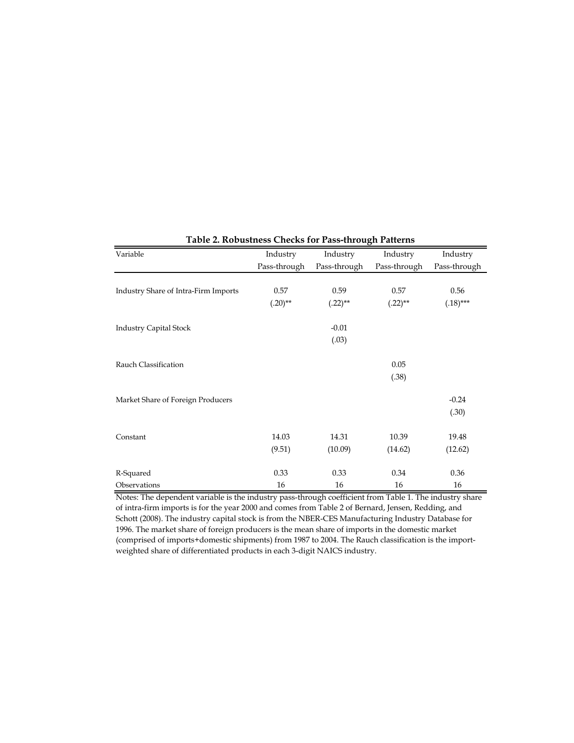| Variable                             | Industry     | Industry     | Industry     | Industry     |  |
|--------------------------------------|--------------|--------------|--------------|--------------|--|
|                                      | Pass-through | Pass-through | Pass-through | Pass-through |  |
|                                      |              |              |              |              |  |
| Industry Share of Intra-Firm Imports | 0.57         | 0.59         | 0.57         | 0.56         |  |
|                                      | $(.20)$ **   | $(.22)$ **   | $(.22)$ **   | $(.18)***$   |  |
| <b>Industry Capital Stock</b>        |              | $-0.01$      |              |              |  |
|                                      |              |              |              |              |  |
|                                      |              | (.03)        |              |              |  |
| Rauch Classification                 |              |              | 0.05         |              |  |
|                                      |              |              | (.38)        |              |  |
| Market Share of Foreign Producers    |              |              |              | $-0.24$      |  |
|                                      |              |              |              |              |  |
|                                      |              |              |              | (.30)        |  |
| Constant                             | 14.03        | 14.31        | 10.39        | 19.48        |  |
|                                      | (9.51)       | (10.09)      | (14.62)      | (12.62)      |  |
|                                      | 0.33         | 0.33         | 0.34         | 0.36         |  |
| R-Squared<br>Observations            | 16           | 16           | 16           |              |  |
|                                      |              |              |              | 16           |  |

# **Table 2. Robustness Checks for Pass-through Patterns**

Notes: The dependent variable is the industry pass-through coefficient from Table 1. The industry share of intra-firm imports is for the year 2000 and comes from Table 2 of Bernard, Jensen, Redding, and Schott (2008). The industry capital stock is from the NBER-CES Manufacturing Industry Database for 1996. The market share of foreign producers is the mean share of imports in the domestic market (comprised of imports+domestic shipments) from 1987 to 2004. The Rauch classification is the importweighted share of differentiated products in each 3-digit NAICS industry.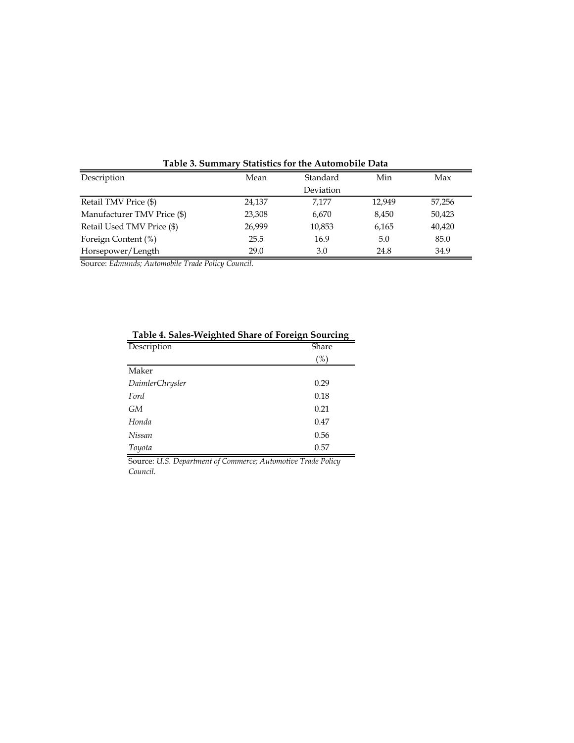| Table 9. Building y Blatistics for the Automobile Data |        |           |        |        |  |  |  |  |
|--------------------------------------------------------|--------|-----------|--------|--------|--|--|--|--|
| Description                                            | Mean   | Standard  |        | Max    |  |  |  |  |
|                                                        |        | Deviation |        |        |  |  |  |  |
| Retail TMV Price (\$)                                  | 24,137 | 7.177     | 12.949 | 57,256 |  |  |  |  |
| Manufacturer TMV Price (\$)                            | 23,308 | 6,670     | 8,450  | 50,423 |  |  |  |  |
| Retail Used TMV Price (\$)                             | 26,999 | 10,853    | 6,165  | 40,420 |  |  |  |  |
| Foreign Content (%)                                    | 25.5   | 16.9      | 5.0    | 85.0   |  |  |  |  |
| Horsepower/Length                                      | 29.0   | 3.0       | 24.8   | 34.9   |  |  |  |  |

**Table 3. Summary Statistics for the Automobile Data**

Source: *Edmunds; Automobile Trade Policy Council.* 

| Table 4. Sales-Weighted Share of Foreign Sourcing |       |  |  |  |  |
|---------------------------------------------------|-------|--|--|--|--|
| Description                                       | Share |  |  |  |  |
|                                                   | (%)   |  |  |  |  |
| Maker                                             |       |  |  |  |  |
| DaimlerChrysler                                   | 0.29  |  |  |  |  |
| Ford                                              | 0.18  |  |  |  |  |
| <b>GM</b>                                         | 0.21  |  |  |  |  |
| Honda                                             | 0.47  |  |  |  |  |
| Nissan                                            | 0.56  |  |  |  |  |
| Toyota                                            | 0.57  |  |  |  |  |

Source: *U.S. Department of Commerce; Automotive Trade Policy Council.*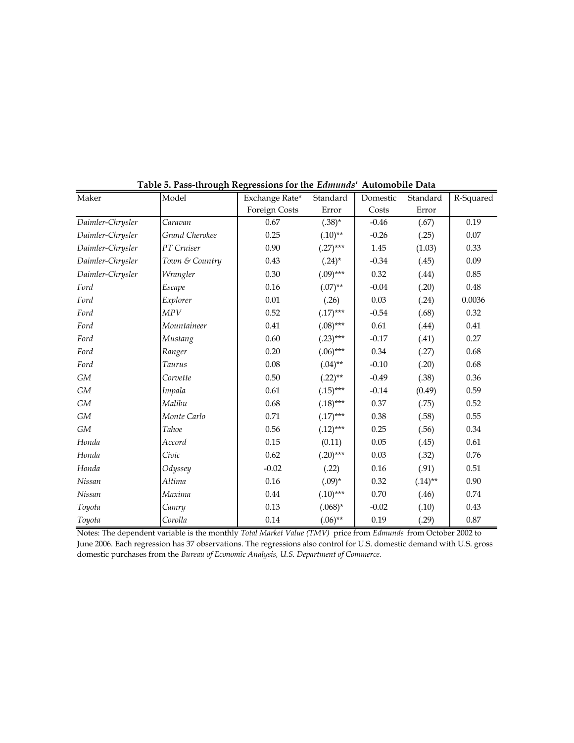| Maker            | Model          | Standard<br>Exchange Rate* |             | Domestic | Standard   | R-Squared |
|------------------|----------------|----------------------------|-------------|----------|------------|-----------|
|                  |                | Foreign Costs              | Error       | Costs    | Error      |           |
| Daimler-Chrysler | Caravan        | 0.67                       | $(.38)^*$   | $-0.46$  | (.67)      | 0.19      |
| Daimler-Chrysler | Grand Cherokee | 0.25                       | $(.10)$ **  | $-0.26$  | (.25)      | 0.07      |
| Daimler-Chrysler | PT Cruiser     | 0.90                       | $(.27)$ *** | 1.45     | (1.03)     | 0.33      |
| Daimler-Chrysler | Town & Country | 0.43                       | $(.24)^*$   | $-0.34$  | (.45)      | 0.09      |
| Daimler-Chrysler | Wrangler       | 0.30                       | $(.09)$ *** | 0.32     | (.44)      | 0.85      |
| Ford             | Escape         | 0.16                       | $(.07)$ **  | $-0.04$  | (.20)      | 0.48      |
| Ford             | Explorer       | 0.01                       | (.26)       | 0.03     | (.24)      | 0.0036    |
| Ford             | MPV            | 0.52                       | $(.17)$ *** | $-0.54$  | (.68)      | 0.32      |
| Ford             | Mountaineer    | 0.41                       | $(.08)$ *** | 0.61     | (.44)      | 0.41      |
| Ford             | Mustang        | 0.60                       | $(.23)$ *** | $-0.17$  | (.41)      | 0.27      |
| Ford             | Ranger         | 0.20                       | $(.06)$ *** | 0.34     | (.27)      | 0.68      |
| Ford             | <b>Taurus</b>  | 0.08                       | $(.04)$ **  | $-0.10$  | (.20)      | 0.68      |
| <b>GM</b>        | Corvette       | 0.50                       | $(.22)$ **  | $-0.49$  | (.38)      | 0.36      |
| <b>GM</b>        | Impala         | 0.61                       | $(.15)***$  | $-0.14$  | (0.49)     | 0.59      |
| <b>GM</b>        | Malibu         | 0.68                       | $(.18)***$  | 0.37     | (.75)      | 0.52      |
| <b>GM</b>        | Monte Carlo    | 0.71                       | $(.17)$ *** | 0.38     | (.58)      | 0.55      |
| <b>GM</b>        | Tahoe          | 0.56                       | $(.12)$ *** | 0.25     | (.56)      | 0.34      |
| Honda            | Accord         | 0.15                       | (0.11)      | 0.05     | (.45)      | 0.61      |
| Honda            | Civic          | 0.62                       | $(.20)$ *** | 0.03     | (.32)      | 0.76      |
| Honda            | Odyssey        | $-0.02$                    | (.22)       | 0.16     | (.91)      | 0.51      |
| Nissan           | Altima         | 0.16                       | $(.09)^*$   | 0.32     | $(.14)$ ** | 0.90      |
| Nissan           | Maxima         | 0.44                       | $(.10)$ *** | 0.70     | (.46)      | 0.74      |
| Toyota           | Camry          | 0.13                       | $(.068)*$   | $-0.02$  | (.10)      | 0.43      |
| Toyota           | Corolla        | 0.14                       | $(.06)$ **  | 0.19     | (.29)      | 0.87      |

**Table 5. Pass-through Regressions for the** *Edmunds'* **Automobile Data**

Notes: The dependent variable is the monthly *Total Market Value (TMV)* price from *Edmunds* from October 2002 to June 2006. Each regression has 37 observations. The regressions also control for U.S. domestic demand with U.S. gross domestic purchases from the *Bureau of Economic Analysis, U.S. Department of Commerce.*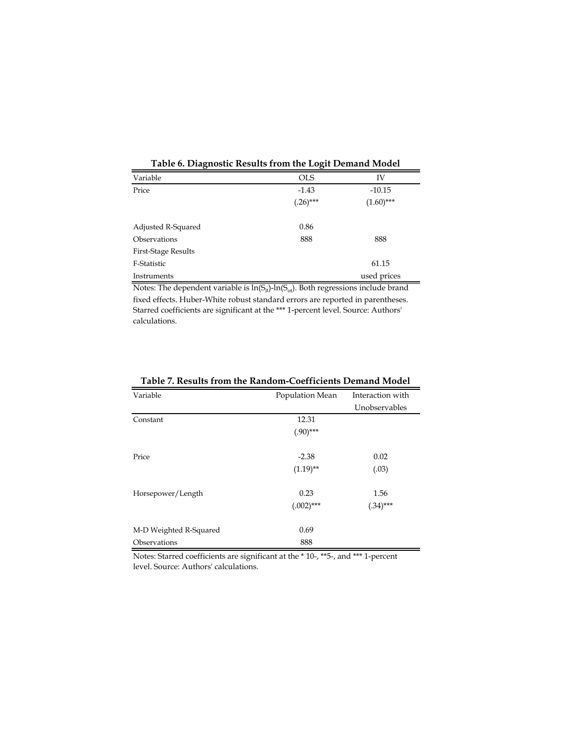| Table 6. Diagnostic Results from the Logit Demand Model |             |              |  |  |  |
|---------------------------------------------------------|-------------|--------------|--|--|--|
| Variable                                                | OL S        | IV           |  |  |  |
| Price                                                   | $-1.43$     | $-10.15$     |  |  |  |
|                                                         | $(.26)$ *** | $(1.60)$ *** |  |  |  |
| Adjusted R-Squared                                      | 0.86        |              |  |  |  |
| Observations                                            | 888         | 888          |  |  |  |
| First-Stage Results                                     |             |              |  |  |  |
| F-Statistic                                             |             | 61.15        |  |  |  |
| Instruments                                             |             | used prices  |  |  |  |

Notes: The dependent variable is  $ln(S_{jt})$ - $ln(S_{ot})$ . Both regressions include brand fixed effects. Huber-White robust standard errors are reported in parentheses. Starred coefficients are significant at the \*\*\* 1-percent level. Source: Authors' calculations.

| Variable               | Population Mean | Interaction with |
|------------------------|-----------------|------------------|
|                        |                 | Unobservables    |
| Constant               | 12.31           |                  |
|                        | $(.90)$ ***     |                  |
| Price                  | $-2.38$         | 0.02             |
|                        | $(1.19)$ **     | (.03)            |
| Horsepower/Length      | 0.23            | 1.56             |
|                        | $(.002)$ ***    | $(.34)***$       |
| M-D Weighted R-Squared | 0.69            |                  |
| Observations           | 888             |                  |

**Table 7. Results from the Random-Coefficients Demand Model**

Notes: Starred coefficients are significant at the \* 10-, \*\*5-, and \*\*\* 1-percent level. Source: Authors' calculations.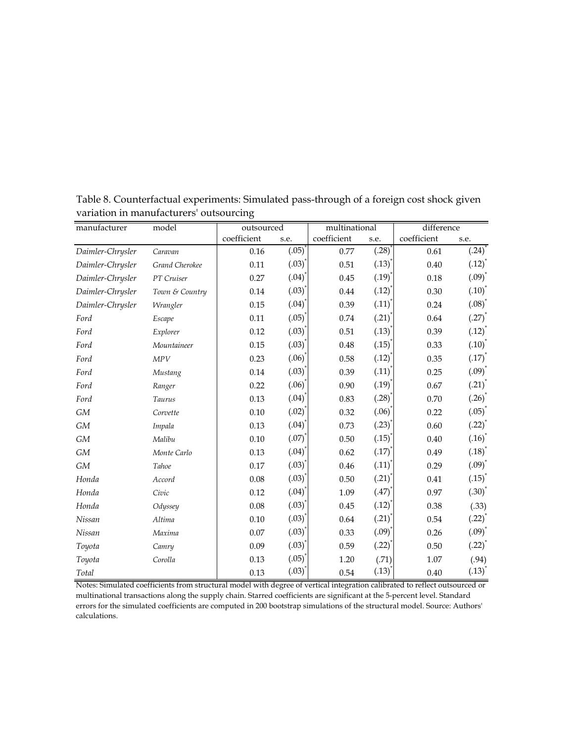| manufacturer     | model          | outsourced  |                      | multinational |       | difference  |                      |
|------------------|----------------|-------------|----------------------|---------------|-------|-------------|----------------------|
|                  |                | coefficient | s.e.                 | coefficient   | s.e.  | coefficient | s.e.                 |
| Daimler-Chrysler | Caravan        | 0.16        | (.05)                | 0.77          | (.28) | 0.61        | $(.24)^*$            |
| Daimler-Chrysler | Grand Cherokee | 0.11        | $(.03)^{^{\circ}}$   | 0.51          | (.13) | 0.40        | $(.12)^{^{\circ}}$   |
| Daimler-Chrysler | PT Cruiser     | 0.27        | $(.04)^*$            | 0.45          | (.19) | 0.18        | $(.09)^{*}$          |
| Daimler-Chrysler | Town & Country | 0.14        | $(.03)^{*}$          | 0.44          | (.12) | 0.30        | $(.10)^*$            |
| Daimler-Chrysler | Wrangler       | 0.15        | (.04)                | 0.39          | (.11) | 0.24        | $(.08)^{*}$          |
| Ford             | Escape         | 0.11        | $(.05)^{^{\circ}}$   | 0.74          | (.21) | 0.64        | $(.27)$ <sup>*</sup> |
| Ford             | Explorer       | 0.12        | $(.03)^{*}$          | 0.51          | (.13) | 0.39        | $(.12)^{^{\circ}}$   |
| Ford             | Mountaineer    | 0.15        | $(.03)^{*}$          | 0.48          | (.15) | 0.33        | $(.10)^*$            |
| Ford             | MPV            | 0.23        | $(.06)$ <sup>*</sup> | 0.58          | (.12) | 0.35        | $(.17)$ <sup>*</sup> |
| Ford             | Mustang        | 0.14        | $(.03)^{*}$          | 0.39          | (.11) | 0.25        | $(.09)^{*}$          |
| Ford             | Ranger         | 0.22        | $(.06)^*$            | 0.90          | (.19) | 0.67        | $(.21)^{*}$          |
| Ford             | Taurus         | 0.13        | $(.04)^*$            | 0.83          | (.28) | 0.70        | $(.26)^{^*}$         |
| <b>GM</b>        | Corvette       | 0.10        | $(.02)^{*}$          | 0.32          | (.06) | 0.22        | $(.05)^{*}$          |
| GM               | Impala         | 0.13        | $(.04)^{^{\circ}}$   | 0.73          | (.23) | 0.60        | $(.22)^{*}$          |
| GM               | Malibu         | 0.10        | (.07)                | 0.50          | (.15) | 0.40        | $(.16)^*$            |
| <b>GM</b>        | Monte Carlo    | 0.13        | $(.04)^{*}$          | 0.62          | (.17) | 0.49        | $(.18)^{*}$          |
| <b>GM</b>        | Tahoe          | 0.17        | $(.03)^{^{\circ}}$   | 0.46          | (.11) | 0.29        | $(.09)^{*}$          |
| Honda            | Accord         | 0.08        | $(.03)^{*}$          | 0.50          | (.21) | 0.41        | $(.15)^{*}$          |
| Honda            | Civic          | 0.12        | $(.04)^*$            | 1.09          | (.47) | 0.97        | $(.30)^{*}$          |
| Honda            | Odyssey        | 0.08        | $(.03)^{*}$          | 0.45          | (.12) | 0.38        | (.33)                |
| Nissan           | Altima         | $0.10\,$    | $(.03)^{^{\circ}}$   | 0.64          | (.21) | 0.54        | $(.22)^{*}$          |
| Nissan           | Maxima         | 0.07        | $(.03)^{4}$          | 0.33          | (.09) | 0.26        | $(.09)^{*}$          |
| Toyota           | Camry          | 0.09        | $(.03)^{*}$          | 0.59          | (.22) | 0.50        | $(.22)^{*}$          |
| Toyota           | Corolla        | 0.13        | $(.05)^{*}$          | 1.20          | (.71) | 1.07        | (.94)                |
| Total            |                | 0.13        | (.03)                | 0.54          | (.13) | 0.40        | $(.13)^{*}$          |

Table 8. Counterfactual experiments: Simulated pass-through of a foreign cost shock given variation in manufacturers' outsourcing

Notes: Simulated coefficients from structural model with degree of vertical integration calibrated to reflect outsourced or multinational transactions along the supply chain. Starred coefficients are significant at the 5-percent level. Standard errors for the simulated coefficients are computed in 200 bootstrap simulations of the structural model. Source: Authors' calculations.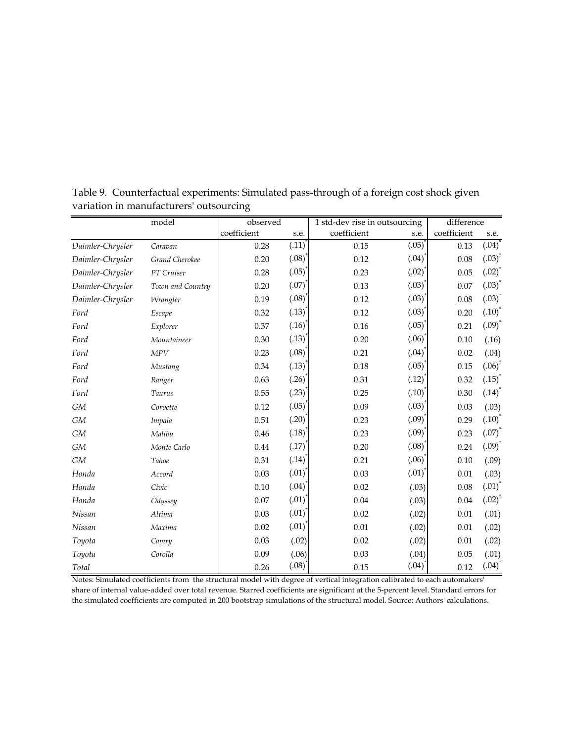|                  | model            | observed    |                      | 1 std-dev rise in outsourcing | difference           |             |                      |
|------------------|------------------|-------------|----------------------|-------------------------------|----------------------|-------------|----------------------|
|                  |                  | coefficient | s.e.                 | coefficient                   | s.e.                 | coefficient | s.e.                 |
| Daimler-Chrysler | Caravan          | 0.28        | (.11)                | 0.15                          | (.05)                | 0.13        | $(.04)^*$            |
| Daimler-Chrysler | Grand Cherokee   | 0.20        | $(.08)^{0}$          | 0.12                          | (.04)                | 0.08        | $(.03)^{^*}$         |
| Daimler-Chrysler | PT Cruiser       | 0.28        | (.05)                | 0.23                          | (.02)                | 0.05        | $(.02)^{^*}$         |
| Daimler-Chrysler | Town and Country | 0.20        | (.07)                | 0.13                          | (.03)                | 0.07        | $(.03)^{*}$          |
| Daimler-Chrysler | Wrangler         | 0.19        | $(.08)^{^{\circ}}$   | 0.12                          | (.03)                | 0.08        | $(.03)^{*}$          |
| Ford             | Escape           | 0.32        | $(.13)^{*}$          | 0.12                          | $(.03)$ <sup>*</sup> | 0.20        | $(.10)^*$            |
| Ford             | Explorer         | 0.37        | (.16)                | 0.16                          | (.05)                | 0.21        | $(.09)^{*}$          |
| Ford             | Mountaineer      | 0.30        | $(.13)$ <sup>*</sup> | 0.20                          | (.06)                | 0.10        | (.16)                |
| Ford             | MPV              | 0.23        | (.08)                | 0.21                          | (.04)                | 0.02        | (.04)                |
| Ford             | Mustang          | 0.34        | $(.13)$ <sup>*</sup> | 0.18                          | (.05)                | 0.15        | (.06)                |
| Ford             | Ranger           | 0.63        | (.26)                | 0.31                          | (.12)                | 0.32        | $(.15)^{^*}$         |
| Ford             | Taurus           | 0.55        | (.23)                | 0.25                          | $(.10)^{'}$          | 0.30        | $(.14)$ <sup>*</sup> |
| <b>GM</b>        | Corvette         | 0.12        | (.05)                | 0.09                          | (.03)                | 0.03        | (.03)                |
| <b>GM</b>        | Impala           | 0.51        | (.20)                | 0.23                          | (.09)                | 0.29        | $(.10)^{^*}$         |
| <b>GM</b>        | Malibu           | 0.46        | (.18)                | 0.23                          | (.09)                | 0.23        | $(.07)^{*}$          |
| <b>GM</b>        | Monte Carlo      | 0.44        | (.17)                | 0.20                          | (.08)                | 0.24        | $(.09)^{^*}$         |
| <b>GM</b>        | Tahoe            | 0.31        | $(.14)$ <sup>*</sup> | 0.21                          | (.06)                | 0.10        | (.09)                |
| Honda            | Accord           | 0.03        | (.01)                | 0.03                          | (.01)                | 0.01        | (.03)                |
| Honda            | Civic            | 0.10        | $(.04)^{^{\circ}}$   | 0.02                          | (.03)                | 0.08        | $(.01)^{*}$          |
| Honda            | Odyssey          | 0.07        | $(.01)^{4}$          | 0.04                          | (.03)                | 0.04        | $(.02)^{*}$          |
| Nissan           | Altima           | 0.03        | (.01)                | 0.02                          | (.02)                | $0.01\,$    | (.01)                |
| Nissan           | Maxima           | 0.02        | (.01)                | 0.01                          | (.02)                | 0.01        | (.02)                |
| Toyota           | Camry            | 0.03        | (.02)                | 0.02                          | (.02)                | 0.01        | (.02)                |
| Toyota           | Corolla          | 0.09        | (.06)                | 0.03                          | (.04)                | 0.05        | (.01)                |
| Total            |                  | 0.26        | (.08)                | 0.15                          | (.04)                | 0.12        | (.04)                |

Table 9. Counterfactual experiments: Simulated pass-through of a foreign cost shock given variation in manufacturers' outsourcing

Notes: Simulated coefficients from the structural model with degree of vertical integration calibrated to each automakers' share of internal value-added over total revenue. Starred coefficients are significant at the 5-percent level. Standard errors for the simulated coefficients are computed in 200 bootstrap simulations of the structural model. Source: Authors' calculations.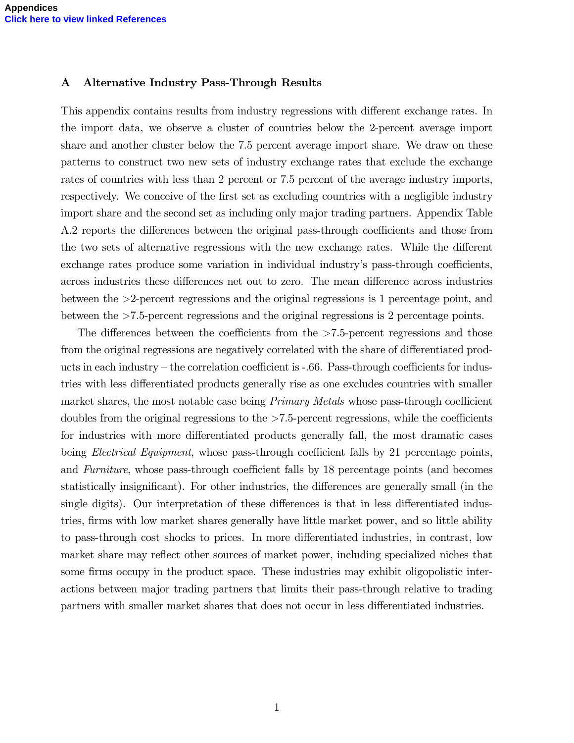#### A Alternative Industry Pass-Through Results

This appendix contains results from industry regressions with different exchange rates. In the import data, we observe a cluster of countries below the 2-percent average import share and another cluster below the 7.5 percent average import share. We draw on these patterns to construct two new sets of industry exchange rates that exclude the exchange rates of countries with less than 2 percent or 7.5 percent of the average industry imports, respectively. We conceive of the first set as excluding countries with a negligible industry import share and the second set as including only major trading partners. Appendix Table A.2 reports the differences between the original pass-through coefficients and those from the two sets of alternative regressions with the new exchange rates. While the different exchange rates produce some variation in individual industry's pass-through coefficients, across industries these differences net out to zero. The mean difference across industries between the >2-percent regressions and the original regressions is 1 percentage point, and between the >7.5-percent regressions and the original regressions is 2 percentage points.

The differences between the coefficients from the >7.5-percent regressions and those from the original regressions are negatively correlated with the share of differentiated products in each industry — the correlation coefficient is -.66. Pass-through coefficients for industries with less differentiated products generally rise as one excludes countries with smaller market shares, the most notable case being *Primary Metals* whose pass-through coefficient doubles from the original regressions to the  $>7.5$ -percent regressions, while the coefficients for industries with more differentiated products generally fall, the most dramatic cases being *Electrical Equipment*, whose pass-through coefficient falls by 21 percentage points, and Furniture, whose pass-through coefficient falls by 18 percentage points (and becomes statistically insignificant). For other industries, the differences are generally small (in the single digits). Our interpretation of these differences is that in less differentiated industries, firms with low market shares generally have little market power, and so little ability to pass-through cost shocks to prices. In more differentiated industries, in contrast, low market share may reflect other sources of market power, including specialized niches that some firms occupy in the product space. These industries may exhibit oligopolistic interactions between major trading partners that limits their pass-through relative to trading partners with smaller market shares that does not occur in less differentiated industries.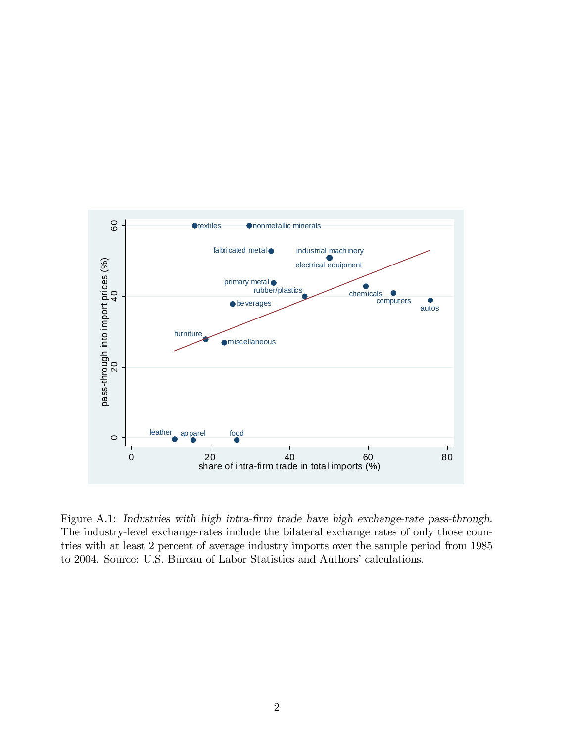

Figure A.1: Industries with high intra-firm trade have high exchange-rate pass-through. The industry-level exchange-rates include the bilateral exchange rates of only those countries with at least 2 percent of average industry imports over the sample period from 1985 to 2004. Source: U.S. Bureau of Labor Statistics and Authors' calculations.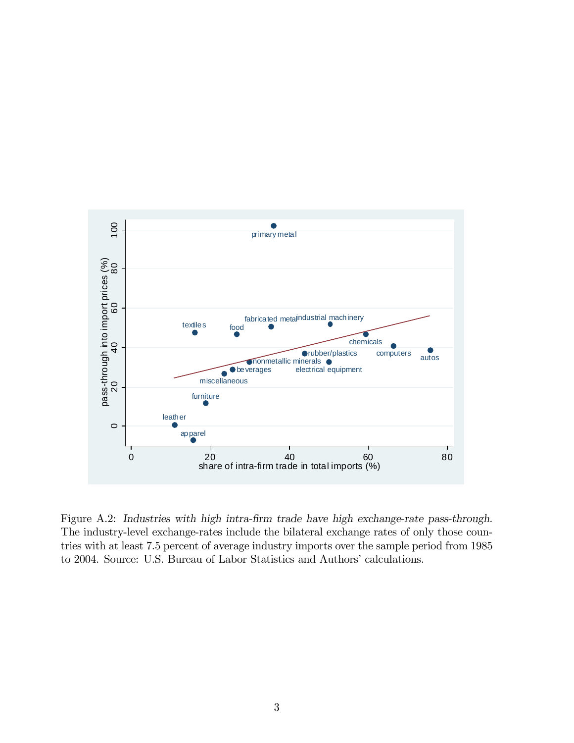

Figure A.2: Industries with high intra-firm trade have high exchange-rate pass-through. The industry-level exchange-rates include the bilateral exchange rates of only those countries with at least 7.5 percent of average industry imports over the sample period from 1985 to 2004. Source: U.S. Bureau of Labor Statistics and Authors' calculations.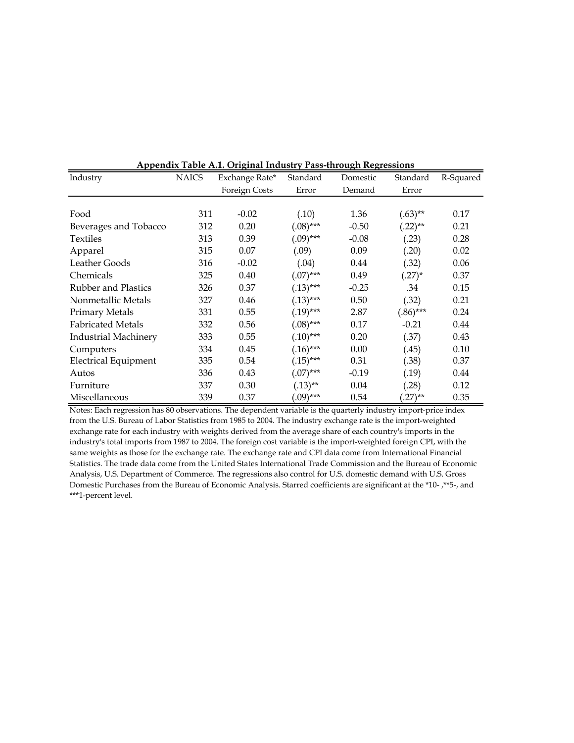| Industry                    | <b>NAICS</b> | лррения таріс л.т. Опдшагніццягу і азэ-ннойдіг кедтезяють<br>Exchange Rate* | Standard     | Domestic | Standard    | R-Squared |
|-----------------------------|--------------|-----------------------------------------------------------------------------|--------------|----------|-------------|-----------|
|                             |              | Foreign Costs                                                               | Error        | Demand   | Error       |           |
|                             |              |                                                                             |              |          |             |           |
| Food                        | 311          | $-0.02$                                                                     | (.10)        | 1.36     | $(.63)$ **  | 0.17      |
| Beverages and Tobacco       | 312          | 0.20                                                                        | $(.08)$ ***  | $-0.50$  | $(.22)$ **  | 0.21      |
| Textiles                    | 313          | 0.39                                                                        | $(.09)$ ***  | $-0.08$  | (.23)       | 0.28      |
| Apparel                     | 315          | 0.07                                                                        | (.09)        | 0.09     | (.20)       | 0.02      |
| Leather Goods               | 316          | $-0.02$                                                                     | (.04)        | 0.44     | (.32)       | 0.06      |
| Chemicals                   | 325          | 0.40                                                                        | $(.07)$ ***  | 0.49     | $(.27)^*$   | 0.37      |
| Rubber and Plastics         | 326          | 0.37                                                                        | $(.13)***$   | $-0.25$  | .34         | 0.15      |
| Nonmetallic Metals          | 327          | 0.46                                                                        | $(.13)***$   | 0.50     | (.32)       | 0.21      |
| <b>Primary Metals</b>       | 331          | 0.55                                                                        | $(.19)***$   | 2.87     | $(.86)$ *** | 0.24      |
| <b>Fabricated Metals</b>    | 332          | 0.56                                                                        | $(.08)$ ***  | 0.17     | $-0.21$     | 0.44      |
| <b>Industrial Machinery</b> | 333          | 0.55                                                                        | $(.10)$ ***  | 0.20     | (.37)       | 0.43      |
| Computers                   | 334          | 0.45                                                                        | $(.16)$ ***  | 0.00     | (.45)       | 0.10      |
| Electrical Equipment        | 335          | 0.54                                                                        | $(.15)$ ***  | 0.31     | (.38)       | 0.37      |
| Autos                       | 336          | 0.43                                                                        | $(.07)$ ***  | $-0.19$  | (.19)       | 0.44      |
| Furniture                   | 337          | 0.30                                                                        | $(.13)$ **   | 0.04     | (0.28)      | 0.12      |
| Miscellaneous               | 339          | 0.37                                                                        | $(0.09)$ *** | 0.54     | $(27)$ **   | 0.35      |

**Appendix Table A.1. Original Industry Pass-through Regressions**

Notes: Each regression has 80 observations. The dependent variable is the quarterly industry import-price index from the U.S. Bureau of Labor Statistics from 1985 to 2004. The industry exchange rate is the import-weighted exchange rate for each industry with weights derived from the average share of each country's imports in the industry's total imports from 1987 to 2004. The foreign cost variable is the import-weighted foreign CPI, with the same weights as those for the exchange rate. The exchange rate and CPI data come from International Financial Statistics. The trade data come from the United States International Trade Commission and the Bureau of Economic Analysis, U.S. Department of Commerce. The regressions also control for U.S. domestic demand with U.S. Gross Domestic Purchases from the Bureau of Economic Analysis. Starred coefficients are significant at the \*10- ,\*\*5-, and \*\*\*1-percent level.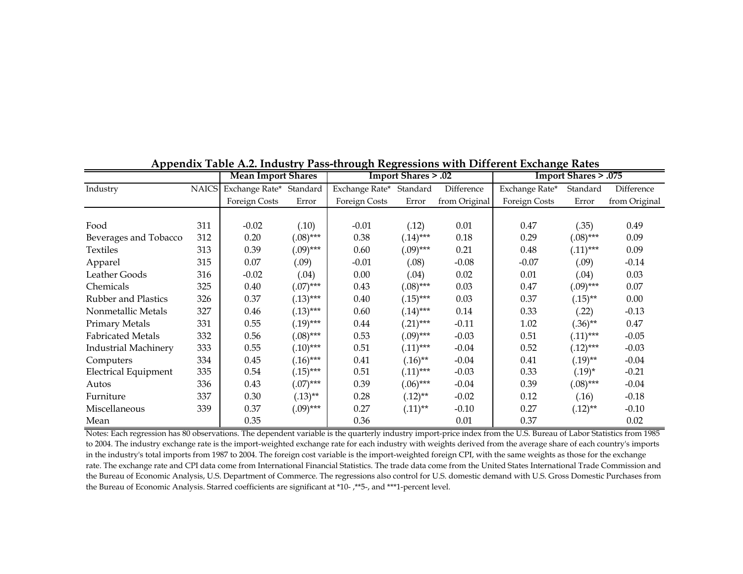|                             |              | <b>Mean Import Shares</b> |             | <b>Import Shares &gt; .02</b> |             |               | <b>Import Shares &gt; .075</b> |             |               |
|-----------------------------|--------------|---------------------------|-------------|-------------------------------|-------------|---------------|--------------------------------|-------------|---------------|
| Industry                    | <b>NAICS</b> | Exchange Rate* Standard   |             | Exchange Rate*                | Standard    | Difference    | Exchange Rate*                 | Standard    | Difference    |
|                             |              | Foreign Costs             | Error       | Foreign Costs                 | Error       | from Original | Foreign Costs                  | Error       | from Original |
|                             |              |                           |             |                               |             |               |                                |             |               |
| Food                        | 311          | $-0.02$                   | (.10)       | $-0.01$                       | (.12)       | 0.01          | 0.47                           | (.35)       | 0.49          |
| Beverages and Tobacco       | 312          | 0.20                      | $(.08)$ *** | 0.38                          | $(.14)$ *** | 0.18          | 0.29                           | $(.08)$ *** | 0.09          |
| Textiles                    | 313          | 0.39                      | $(.09)$ *** | 0.60                          | $(.09)$ *** | 0.21          | 0.48                           | $(.11)$ *** | 0.09          |
| Apparel                     | 315          | 0.07                      | (.09)       | $-0.01$                       | (.08)       | $-0.08$       | $-0.07$                        | (.09)       | $-0.14$       |
| Leather Goods               | 316          | $-0.02$                   | (.04)       | 0.00                          | (.04)       | 0.02          | 0.01                           | (.04)       | 0.03          |
| Chemicals                   | 325          | 0.40                      | $(.07)$ *** | 0.43                          | $(.08)$ *** | 0.03          | 0.47                           | $(.09)$ *** | 0.07          |
| Rubber and Plastics         | 326          | 0.37                      | $(.13)***$  | 0.40                          | $(.15)$ *** | 0.03          | 0.37                           | $(.15)$ **  | 0.00          |
| Nonmetallic Metals          | 327          | 0.46                      | $(.13)***$  | 0.60                          | $(.14)$ *** | 0.14          | 0.33                           | (.22)       | $-0.13$       |
| <b>Primary Metals</b>       | 331          | 0.55                      | $(.19)$ *** | 0.44                          | $(.21)$ *** | $-0.11$       | 1.02                           | $(.36)$ **  | 0.47          |
| <b>Fabricated Metals</b>    | 332          | 0.56                      | $(.08)$ *** | 0.53                          | $(.09)$ *** | $-0.03$       | 0.51                           | $(.11)$ *** | $-0.05$       |
| <b>Industrial Machinery</b> | 333          | 0.55                      | $(.10)$ *** | 0.51                          | $(.11)***$  | $-0.04$       | 0.52                           | $(.12)$ *** | $-0.03$       |
| Computers                   | 334          | 0.45                      | $(.16)$ *** | 0.41                          | $(.16)$ **  | $-0.04$       | 0.41                           | $(.19)$ **  | $-0.04$       |
| <b>Electrical Equipment</b> | 335          | 0.54                      | $(.15)***$  | 0.51                          | $(.11)$ *** | $-0.03$       | 0.33                           | $(.19)^*$   | $-0.21$       |
| Autos                       | 336          | 0.43                      | $(.07)$ *** | 0.39                          | $(.06)$ *** | $-0.04$       | 0.39                           | $(.08)$ *** | $-0.04$       |
| Furniture                   | 337          | 0.30                      | $(.13)$ **  | 0.28                          | $(.12)$ **  | $-0.02$       | 0.12                           | (.16)       | $-0.18$       |
| Miscellaneous               | 339          | 0.37                      | $(.09)$ *** | 0.27                          | $(.11)$ **  | $-0.10$       | 0.27                           | $(.12)$ **  | $-0.10$       |
| Mean                        |              | 0.35                      |             | 0.36                          |             | 0.01          | 0.37                           |             | 0.02          |

## **Appendix Table A.2. Industry Pass-through Regressions with Different Exchange Rates**

Notes: Each regression has 80 observations. The dependent variable is the quarterly industry import-price index from the U.S. Bureau of Labor Statistics from 1985 to 2004. The industry exchange rate is the import-weighted exchange rate for each industry with weights derived from the average share of each country's imports in the industry's total imports from 1987 to 2004. The foreign cost variable is the import-weighted foreign CPI, with the same weights as those for the exchange rate. The exchange rate and CPI data come from International Financial Statistics. The trade data come from the United States International Trade Commission and the Bureau of Economic Anal ysis, U.S. Department of Commerce. The regressions also control for U.S. domestic demand with U.S. Gross Domestic Purchases from the Bureau of Economic Analysis. Starred coefficients are significant at \*10- ,\*\*5-, and \*\*\*1-percent level.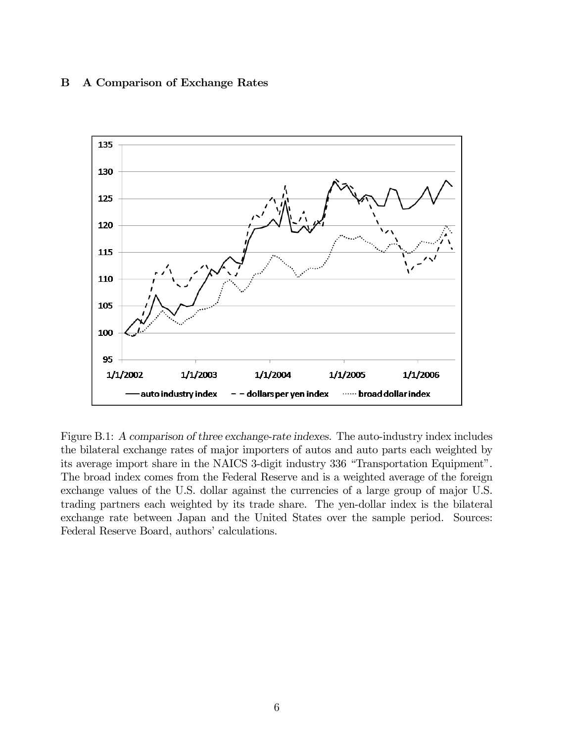#### B A Comparison of Exchange Rates



Figure B.1: A comparison of three exchange-rate indexes. The auto-industry index includes the bilateral exchange rates of major importers of autos and auto parts each weighted by its average import share in the NAICS 3-digit industry 336 "Transportation Equipment". The broad index comes from the Federal Reserve and is a weighted average of the foreign exchange values of the U.S. dollar against the currencies of a large group of major U.S. trading partners each weighted by its trade share. The yen-dollar index is the bilateral exchange rate between Japan and the United States over the sample period. Sources: Federal Reserve Board, authors' calculations.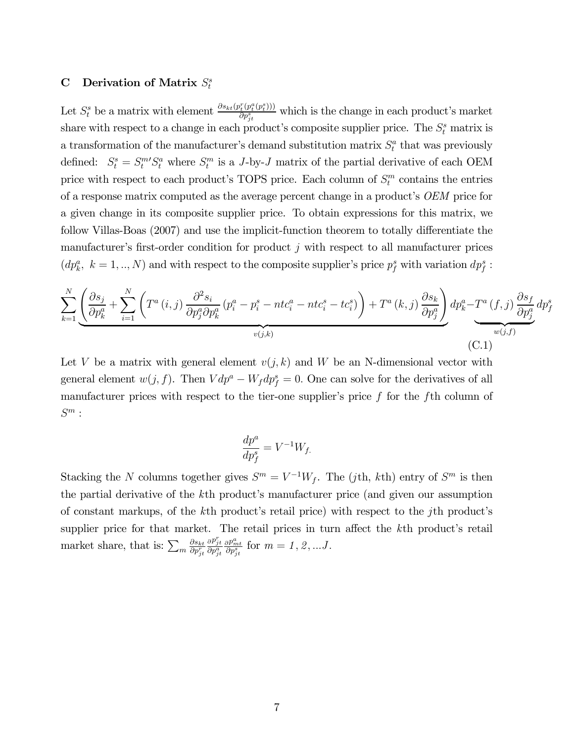# C Derivation of Matrix  $S_t^s$

Let  $S_t^s$  be a matrix with element  $\frac{\partial s_{kt}(p_t^r(p_t^a(p_t^s)))}{\partial p_{s,t}^s}$  $\frac{\partial f_t(p_t^s(p_t^s))}{\partial p_{jt}^s}$  which is the change in each product's market share with respect to a change in each product's composite supplier price. The  $S_t^s$  matrix is a transformation of the manufacturer's demand substitution matrix  $S_t^a$  that was previously defined:  $S_t^s = S_t^{m} S_t^a$  where  $S_t^m$  is a J-by-J matrix of the partial derivative of each OEM price with respect to each product's TOPS price. Each column of  $S_t^m$  contains the entries of a response matrix computed as the average percent change in a product's OEM price for a given change in its composite supplier price. To obtain expressions for this matrix, we follow Villas-Boas (2007) and use the implicit-function theorem to totally differentiate the manufacturer's first-order condition for product j with respect to all manufacturer prices  $(dp_k^a, k = 1, ..., N)$  and with respect to the composite supplier's price  $p_f^s$  with variation  $dp_f^s$ :

$$
\sum_{k=1}^{N} \underbrace{\left(\frac{\partial s_j}{\partial p_k^a} + \sum_{i=1}^{N} \left(T^a(i,j) \frac{\partial^2 s_i}{\partial p_j^a \partial p_k^a} (p_i^a - p_i^s - nt c_i^a - nt c_i^s - t c_i^s)\right) + T^a(k,j) \frac{\partial s_k}{\partial p_j^a}\right) dp_k^a - T^a(f,j) \frac{\partial s_f}{\partial p_j^a} dp_f^s}{w(j,f)}
$$
\n(C.1)

Let V be a matrix with general element  $v(j, k)$  and W be an N-dimensional vector with general element  $w(j, f)$ . Then  $V dp^a - W_f dp^s_f = 0$ . One can solve for the derivatives of all manufacturer prices with respect to the tier-one supplier's price  $f$  for the  $f$ th column of  $S^m$ :

$$
\frac{dp^a}{dp_f^s} = V^{-1}W_f.
$$

Stacking the N columns together gives  $S^m = V^{-1}W_f$ . The (jth, kth) entry of  $S^m$  is then the partial derivative of the kth product's manufacturer price (and given our assumption of constant markups, of the kth product's retail price) with respect to the jth product's supplier price for that market. The retail prices in turn affect the kth product's retail market share, that is:  $\sum_{m} \frac{\partial s_{kt}}{\partial p_{st}^r}$  $\overline{\partial p_{jt}^r}$  $\frac{\partial p_{jt}^r}{\partial p_{jt}^a}$  $\frac{\partial p_{mt}^a}{\partial p_{jt}^s}$  for  $m = 1, 2, ... J$ .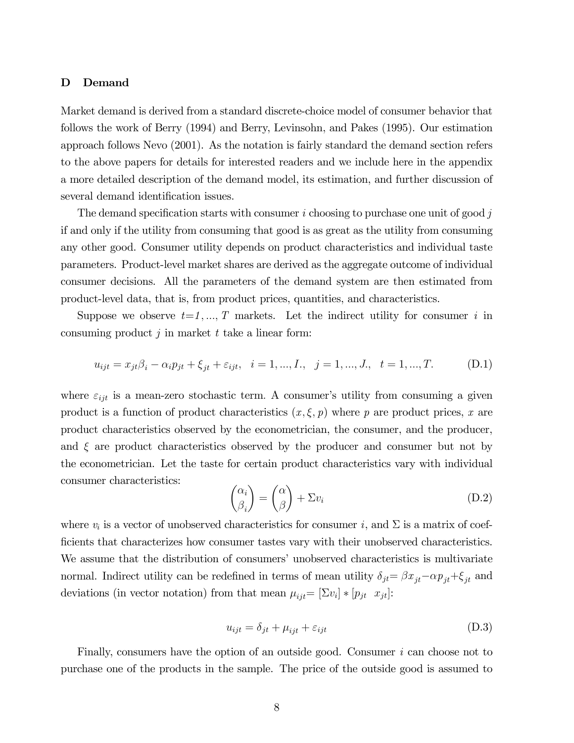#### D Demand

Market demand is derived from a standard discrete-choice model of consumer behavior that follows the work of Berry (1994) and Berry, Levinsohn, and Pakes (1995). Our estimation approach follows Nevo (2001). As the notation is fairly standard the demand section refers to the above papers for details for interested readers and we include here in the appendix a more detailed description of the demand model, its estimation, and further discussion of several demand identification issues.

The demand specification starts with consumer  $i$  choosing to purchase one unit of good  $j$ if and only if the utility from consuming that good is as great as the utility from consuming any other good. Consumer utility depends on product characteristics and individual taste parameters. Product-level market shares are derived as the aggregate outcome of individual consumer decisions. All the parameters of the demand system are then estimated from product-level data, that is, from product prices, quantities, and characteristics.

Suppose we observe  $t=1, ..., T$  markets. Let the indirect utility for consumer i in consuming product  $j$  in market  $t$  take a linear form:

$$
u_{ijt} = x_{jt}\beta_i - \alpha_i p_{jt} + \xi_{jt} + \varepsilon_{ijt}, \quad i = 1, ..., I, \quad j = 1, ..., J, \quad t = 1, ..., T.
$$
 (D.1)

where  $\varepsilon_{ijt}$  is a mean-zero stochastic term. A consumer's utility from consuming a given product is a function of product characteristics  $(x, \xi, p)$  where p are product prices, x are product characteristics observed by the econometrician, the consumer, and the producer, and  $\xi$  are product characteristics observed by the producer and consumer but not by the econometrician. Let the taste for certain product characteristics vary with individual consumer characteristics:

$$
\begin{pmatrix} \alpha_i \\ \beta_i \end{pmatrix} = \begin{pmatrix} \alpha \\ \beta \end{pmatrix} + \Sigma v_i \tag{D.2}
$$

where  $v_i$  is a vector of unobserved characteristics for consumer i, and  $\Sigma$  is a matrix of coefficients that characterizes how consumer tastes vary with their unobserved characteristics. We assume that the distribution of consumers' unobserved characteristics is multivariate normal. Indirect utility can be redefined in terms of mean utility  $\delta_{jt} = \beta x_{jt} - \alpha p_{jt} + \xi_{jt}$  and deviations (in vector notation) from that mean  $\mu_{ij} = [\Sigma v_i] * [p_{jt} \ x_{jt}]$ :

$$
u_{ijt} = \delta_{jt} + \mu_{ijt} + \varepsilon_{ijt}
$$
 (D.3)

Finally, consumers have the option of an outside good. Consumer i can choose not to purchase one of the products in the sample. The price of the outside good is assumed to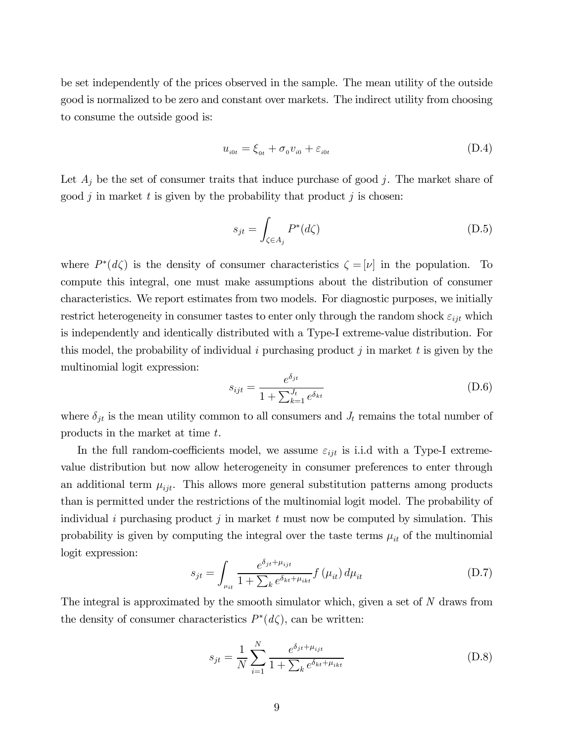be set independently of the prices observed in the sample. The mean utility of the outside good is normalized to be zero and constant over markets. The indirect utility from choosing to consume the outside good is:

$$
u_{i0t} = \xi_{0t} + \sigma_0 v_{i0} + \varepsilon_{i0t}
$$
 (D.4)

Let  $A_i$  be the set of consumer traits that induce purchase of good j. The market share of good j in market t is given by the probability that product j is chosen:

$$
s_{jt} = \int_{\zeta \in A_j} P^*(d\zeta) \tag{D.5}
$$

where  $P^*(d\zeta)$  is the density of consumer characteristics  $\zeta = |\nu|$  in the population. To compute this integral, one must make assumptions about the distribution of consumer characteristics. We report estimates from two models. For diagnostic purposes, we initially restrict heterogeneity in consumer tastes to enter only through the random shock  $\varepsilon_{ijt}$  which is independently and identically distributed with a Type-I extreme-value distribution. For this model, the probability of individual i purchasing product j in market t is given by the multinomial logit expression:

$$
s_{ijt} = \frac{e^{\delta_{jt}}}{1 + \sum_{k=1}^{J_t} e^{\delta_{kt}}}
$$
 (D.6)

where  $\delta_{jt}$  is the mean utility common to all consumers and  $J_t$  remains the total number of products in the market at time t.

In the full random-coefficients model, we assume  $\varepsilon_{ijt}$  is i.i.d with a Type-I extremevalue distribution but now allow heterogeneity in consumer preferences to enter through an additional term  $\mu_{ijt}$ . This allows more general substitution patterns among products than is permitted under the restrictions of the multinomial logit model. The probability of individual i purchasing product j in market  $t$  must now be computed by simulation. This probability is given by computing the integral over the taste terms  $\mu_{it}$  of the multinomial logit expression:

$$
s_{jt} = \int_{\mu_{it}} \frac{e^{\delta_{jt} + \mu_{ijt}}}{1 + \sum_{k} e^{\delta_{kt} + \mu_{ikt}}} f(\mu_{it}) d\mu_{it}
$$
 (D.7)

The integral is approximated by the smooth simulator which, given a set of N draws from the density of consumer characteristics  $P^*(d\zeta)$ , can be written:

$$
s_{jt} = \frac{1}{N} \sum_{i=1}^{N} \frac{e^{\delta_{jt} + \mu_{ijt}}}{1 + \sum_{k} e^{\delta_{kt} + \mu_{ikt}}} \tag{D.8}
$$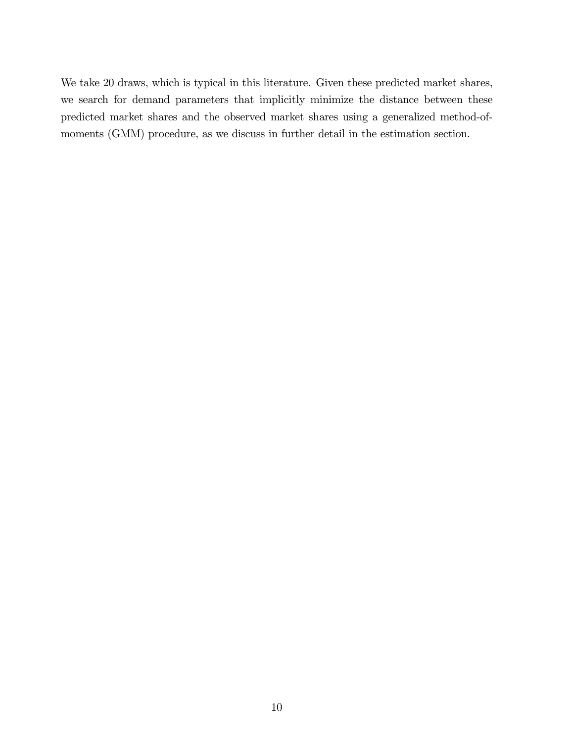We take 20 draws, which is typical in this literature. Given these predicted market shares, we search for demand parameters that implicitly minimize the distance between these predicted market shares and the observed market shares using a generalized method-ofmoments (GMM) procedure, as we discuss in further detail in the estimation section.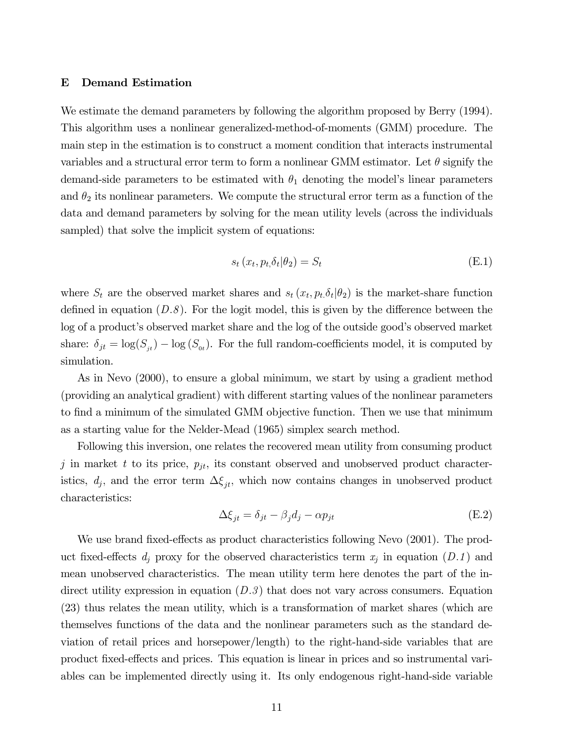#### E Demand Estimation

We estimate the demand parameters by following the algorithm proposed by Berry (1994). This algorithm uses a nonlinear generalized-method-of-moments (GMM) procedure. The main step in the estimation is to construct a moment condition that interacts instrumental variables and a structural error term to form a nonlinear GMM estimator. Let  $\theta$  signify the demand-side parameters to be estimated with  $\theta_1$  denoting the model's linear parameters and  $\theta_2$  its nonlinear parameters. We compute the structural error term as a function of the data and demand parameters by solving for the mean utility levels (across the individuals sampled) that solve the implicit system of equations:

$$
s_t(x_t, p_t, \delta_t | \theta_2) = S_t \tag{E.1}
$$

where  $S_t$  are the observed market shares and  $s_t(x_t, p_t, \delta_t | \theta_2)$  is the market-share function defined in equation  $(D.8)$ . For the logit model, this is given by the difference between the log of a product's observed market share and the log of the outside good's observed market share:  $\delta_{jt} = \log(S_{jt}) - \log(S_{ot})$ . For the full random-coefficients model, it is computed by simulation.

As in Nevo (2000), to ensure a global minimum, we start by using a gradient method (providing an analytical gradient) with different starting values of the nonlinear parameters to find a minimum of the simulated GMM objective function. Then we use that minimum as a starting value for the Nelder-Mead (1965) simplex search method.

Following this inversion, one relates the recovered mean utility from consuming product j in market t to its price,  $p_{jt}$ , its constant observed and unobserved product characteristics,  $d_j$ , and the error term  $\Delta \xi_{jt}$ , which now contains changes in unobserved product characteristics:

$$
\Delta \xi_{jt} = \delta_{jt} - \beta_j d_j - \alpha p_{jt} \tag{E.2}
$$

We use brand fixed-effects as product characteristics following Nevo (2001). The product fixed-effects  $d_j$  proxy for the observed characteristics term  $x_j$  in equation  $(D.1)$  and mean unobserved characteristics. The mean utility term here denotes the part of the indirect utility expression in equation  $(D.3)$  that does not vary across consumers. Equation (23) thus relates the mean utility, which is a transformation of market shares (which are themselves functions of the data and the nonlinear parameters such as the standard deviation of retail prices and horsepower/length) to the right-hand-side variables that are product fixed-effects and prices. This equation is linear in prices and so instrumental variables can be implemented directly using it. Its only endogenous right-hand-side variable